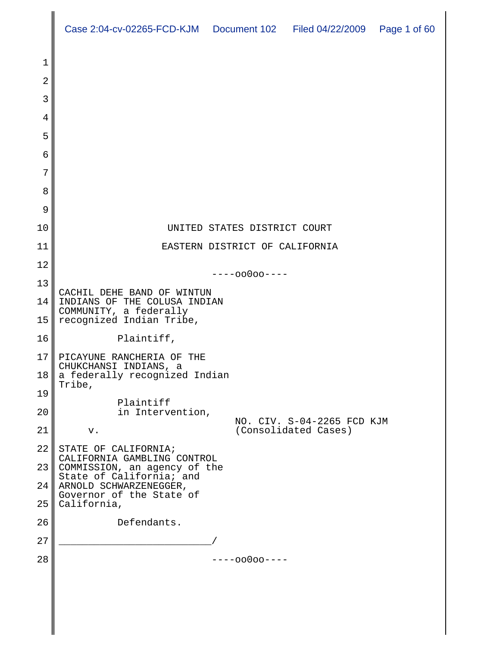|                       | Case 2:04-cv-02265-FCD-KJM  Document 102  Filed 04/22/2009  Page 1 of 60             |                                |                                                    |  |  |
|-----------------------|--------------------------------------------------------------------------------------|--------------------------------|----------------------------------------------------|--|--|
| 1                     |                                                                                      |                                |                                                    |  |  |
| 2                     |                                                                                      |                                |                                                    |  |  |
| 3                     |                                                                                      |                                |                                                    |  |  |
| 4                     |                                                                                      |                                |                                                    |  |  |
| 5                     |                                                                                      |                                |                                                    |  |  |
| 6                     |                                                                                      |                                |                                                    |  |  |
| 7                     |                                                                                      |                                |                                                    |  |  |
| 8                     |                                                                                      |                                |                                                    |  |  |
| 9                     |                                                                                      |                                |                                                    |  |  |
| 10                    |                                                                                      | UNITED STATES DISTRICT COURT   |                                                    |  |  |
| 11                    |                                                                                      | EASTERN DISTRICT OF CALIFORNIA |                                                    |  |  |
| 12                    | $---00000---$                                                                        |                                |                                                    |  |  |
| 13                    | CACHIL DEHE BAND OF WINTUN<br>INDIANS OF THE COLUSA INDIAN<br>COMMUNITY, a federally |                                |                                                    |  |  |
| 14                    |                                                                                      |                                |                                                    |  |  |
| 15                    | recognized Indian Tribe,                                                             |                                |                                                    |  |  |
| 16                    | Plaintiff,                                                                           |                                |                                                    |  |  |
| 17<br>18 <sub>l</sub> | PICAYUNE RANCHERIA OF THE<br>CHUKCHANSI INDIANS, a<br>a federally recognized Indian  |                                |                                                    |  |  |
| 19                    | Tribe,                                                                               |                                |                                                    |  |  |
| 20                    | Plaintiff<br>in Intervention,                                                        |                                |                                                    |  |  |
| 21                    | v.                                                                                   |                                | NO. CIV. S-04-2265 FCD KJM<br>(Consolidated Cases) |  |  |
| 22                    | STATE OF CALIFORNIA;                                                                 |                                |                                                    |  |  |
| 23                    | CALIFORNIA GAMBLING CONTROL<br>COMMISSION, an agency of the                          |                                |                                                    |  |  |
| 24                    | State of California; and<br>ARNOLD SCHWARZENEGGER,                                   |                                |                                                    |  |  |
| 25                    | Governor of the State of<br>California,                                              |                                |                                                    |  |  |
| 26                    | Defendants.                                                                          |                                |                                                    |  |  |
| 27                    |                                                                                      |                                |                                                    |  |  |
| 28                    |                                                                                      | $---00000---$                  |                                                    |  |  |
|                       |                                                                                      |                                |                                                    |  |  |
|                       |                                                                                      |                                |                                                    |  |  |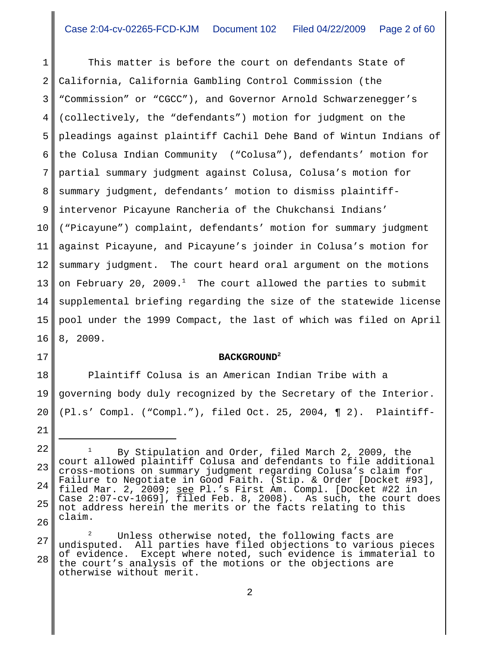1 2 3 4 5 6 7 8 9 10 11 12 13 14 15 16 This matter is before the court on defendants State of California, California Gambling Control Commission (the "Commission" or "CGCC"), and Governor Arnold Schwarzenegger's (collectively, the "defendants") motion for judgment on the pleadings against plaintiff Cachil Dehe Band of Wintun Indians of the Colusa Indian Community ("Colusa"), defendants' motion for partial summary judgment against Colusa, Colusa's motion for summary judgment, defendants' motion to dismiss plaintiffintervenor Picayune Rancheria of the Chukchansi Indians' ("Picayune") complaint, defendants' motion for summary judgment against Picayune, and Picayune's joinder in Colusa's motion for summary judgment. The court heard oral argument on the motions on February 20, 2009. $^1$  The court allowed the parties to submit supplemental briefing regarding the size of the statewide license pool under the 1999 Compact, the last of which was filed on April 8, 2009.

### **BACKGROUND2**

18 19 20 Plaintiff Colusa is an American Indian Tribe with a governing body duly recognized by the Secretary of the Interior. (Pl.s' Compl. ("Compl."), filed Oct. 25, 2004, ¶ 2). Plaintiff-

17

<sup>22</sup> 23 24 25 26 By Stipulation and Order, filed March 2, 2009, the court allowed plaintiff Colusa and defendants to file additional cross-motions on summary judgment regarding Colusa's claim for Failure to Negotiate in Good Faith. (Stip. & Order [Docket #93], filed Mar. 2, 2009; see Pl.'s First Am. Compl. [Docket #22 in Case  $2:07$ -cv-1069],  $\overline{fil}$ ed Feb. 8, 2008). As such, the court does not address herein the merits or the facts relating to this claim.

<sup>27</sup> 28 Unless otherwise noted, the following facts are undisputed. All parties have filed objections to various pieces of evidence. Except where noted, such evidence is immaterial to the court's analysis of the motions or the objections are otherwise without merit.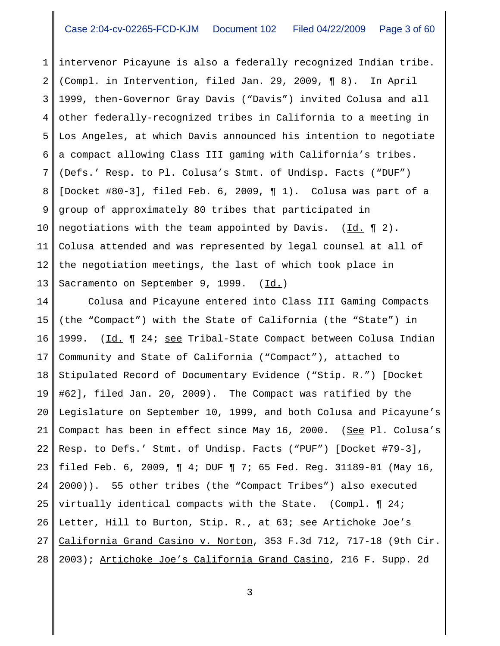1 2 3 4 5 6 7 8 9 10 11 12 13 intervenor Picayune is also a federally recognized Indian tribe. (Compl. in Intervention, filed Jan. 29, 2009, ¶ 8). In April 1999, then-Governor Gray Davis ("Davis") invited Colusa and all other federally-recognized tribes in California to a meeting in Los Angeles, at which Davis announced his intention to negotiate a compact allowing Class III gaming with California's tribes. (Defs.' Resp. to Pl. Colusa's Stmt. of Undisp. Facts ("DUF") [Docket #80-3], filed Feb. 6, 2009, ¶ 1). Colusa was part of a group of approximately 80 tribes that participated in negotiations with the team appointed by Davis.  $(\underline{Id.} \P 2)$ . Colusa attended and was represented by legal counsel at all of the negotiation meetings, the last of which took place in Sacramento on September 9, 1999. (Id.)

14 15 16 17 18 19 20 21 22 23 24 25 26 27 28 Colusa and Picayune entered into Class III Gaming Compacts (the "Compact") with the State of California (the "State") in 1999. (Id. 1 24; see Tribal-State Compact between Colusa Indian Community and State of California ("Compact"), attached to Stipulated Record of Documentary Evidence ("Stip. R.") [Docket #62], filed Jan. 20, 2009). The Compact was ratified by the Legislature on September 10, 1999, and both Colusa and Picayune's Compact has been in effect since May 16, 2000. (See Pl. Colusa's Resp. to Defs.' Stmt. of Undisp. Facts ("PUF") [Docket #79-3], filed Feb. 6, 2009, ¶ 4; DUF ¶ 7; 65 Fed. Reg. 31189-01 (May 16, 2000)). 55 other tribes (the "Compact Tribes") also executed virtually identical compacts with the State. (Compl. ¶ 24; Letter, Hill to Burton, Stip. R., at 63; see Artichoke Joe's California Grand Casino v. Norton, 353 F.3d 712, 717-18 (9th Cir. 2003); Artichoke Joe's California Grand Casino, 216 F. Supp. 2d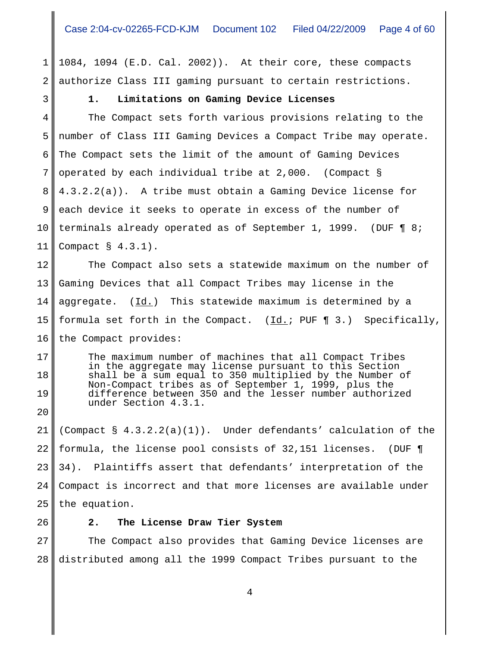1 2 1084, 1094 (E.D. Cal. 2002)). At their core, these compacts authorize Class III gaming pursuant to certain restrictions.

## **1. Limitations on Gaming Device Licenses**

4 5 6 7 8 9 10 11 The Compact sets forth various provisions relating to the number of Class III Gaming Devices a Compact Tribe may operate. The Compact sets the limit of the amount of Gaming Devices operated by each individual tribe at 2,000. (Compact § 4.3.2.2(a)). A tribe must obtain a Gaming Device license for each device it seeks to operate in excess of the number of terminals already operated as of September 1, 1999. (DUF ¶ 8; Compact § 4.3.1).

12 13 14 15 16 The Compact also sets a statewide maximum on the number of Gaming Devices that all Compact Tribes may license in the aggregate.  $(\underline{Id.})$  This statewide maximum is determined by a formula set forth in the Compact. (Id.; PUF ¶ 3.) Specifically, the Compact provides:

The maximum number of machines that all Compact Tribes in the aggregate may license pursuant to this Section shall be a sum equal to 350 multiplied by the Number of Non-Compact tribes as of September 1, 1999, plus the difference between 350 and the lesser number authorized under Section 4.3.1.

21 22 23 24 25 (Compact  $\S$  4.3.2.2(a)(1)). Under defendants' calculation of the formula, the license pool consists of 32,151 licenses. (DUF ¶ 34). Plaintiffs assert that defendants' interpretation of the Compact is incorrect and that more licenses are available under the equation.

26

17

18

19

20

3

## **2. The License Draw Tier System**

27 28 The Compact also provides that Gaming Device licenses are distributed among all the 1999 Compact Tribes pursuant to the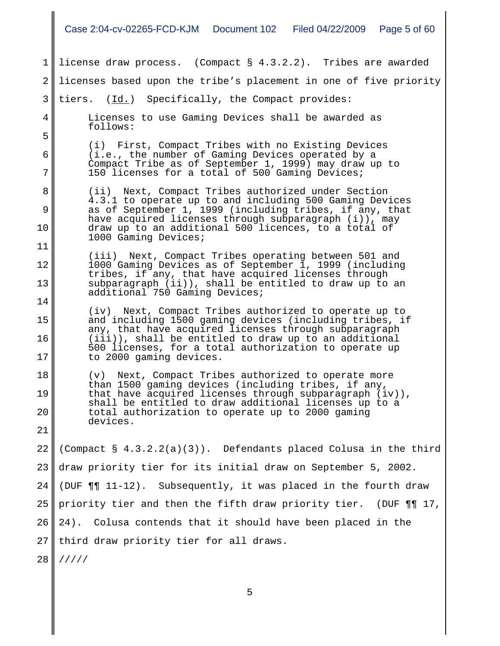|          | Case 2:04-cv-02265-FCD-KJM  Document 102  Filed 04/22/2009<br>Page 5 of 60                                                                                               |  |  |  |  |
|----------|--------------------------------------------------------------------------------------------------------------------------------------------------------------------------|--|--|--|--|
| 1        | license draw process. (Compact § 4.3.2.2). Tribes are awarded                                                                                                            |  |  |  |  |
| 2        | licenses based upon the tribe's placement in one of five priority                                                                                                        |  |  |  |  |
| 3        | tiers. (Id.) Specifically, the Compact provides:                                                                                                                         |  |  |  |  |
| 4        | Licenses to use Gaming Devices shall be awarded as<br>follows:                                                                                                           |  |  |  |  |
| 5        | (i) First, Compact Tribes with no Existing Devices                                                                                                                       |  |  |  |  |
| 6        | (i.e., the number of Gaming Devices operated by a<br>Compact Tribe as of September 1, 1999) may draw up to                                                               |  |  |  |  |
| 7        | 150 licenses for a total of 500 Gaming Devices;                                                                                                                          |  |  |  |  |
| 8<br>9   | (ii) Next, Compact Tribes authorized under Section<br>4.3.1 to operate up to and including 500 Gaming Devices<br>as of September 1, 1999 (including tribes, if any, that |  |  |  |  |
| 10       | have acquired licenses through subparagraph (i)), may<br>draw up to an additional 500 licences, to a total of                                                            |  |  |  |  |
| 11       | 1000 Gaming Devices;                                                                                                                                                     |  |  |  |  |
| 12       | (iii) Next, Compact Tribes operating between 501 and<br>1000 Gaming Devices as of September 1, 1999 (including<br>tribes, if any, that have acquired licenses through    |  |  |  |  |
| 13       | subparagraph (ii)), shall be entitled to draw up to an<br>additional 750 Gaming Devices;                                                                                 |  |  |  |  |
| 14       | (iv) Next, Compact Tribes authorized to operate up to                                                                                                                    |  |  |  |  |
| 15       | and including 1500 gaming devices (including tribes, if<br>any, that have acquired licenses through subparagraph                                                         |  |  |  |  |
| 16<br>17 | (iii)), shall be entitled to draw up to an additional<br>500 licenses, for a total authorization to operate up<br>to 2000 gaming devices.                                |  |  |  |  |
| 18       | Next, Compact Tribes authorized to operate more<br>(V)                                                                                                                   |  |  |  |  |
| 19       | than 1500 gaming devices (including tribes, if any,<br>that have acquired licenses through subparagraph $(iv)$ ,                                                         |  |  |  |  |
| 20       | shall be entitled to draw additional licenses up to a<br>total authorization to operate up to 2000 gaming<br>devices.                                                    |  |  |  |  |
| 21       |                                                                                                                                                                          |  |  |  |  |
| 22       | (Compact § 4.3.2.2(a)(3)). Defendants placed Colusa in the third                                                                                                         |  |  |  |  |
| 23       | draw priority tier for its initial draw on September 5, 2002.                                                                                                            |  |  |  |  |
| 24       | (DUF $\P\P$ 11-12). Subsequently, it was placed in the fourth draw                                                                                                       |  |  |  |  |
| 25       | priority tier and then the fifth draw priority tier. (DUF ¶¶ 17,                                                                                                         |  |  |  |  |
| 26       | Colusa contends that it should have been placed in the<br>24).                                                                                                           |  |  |  |  |
| 27       | third draw priority tier for all draws.                                                                                                                                  |  |  |  |  |
| 28       | 11111                                                                                                                                                                    |  |  |  |  |
|          | 5                                                                                                                                                                        |  |  |  |  |

 $\mathbf I$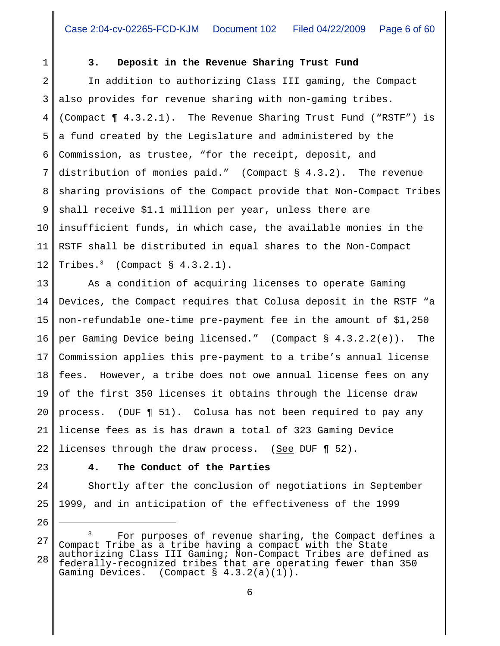1

# **3. Deposit in the Revenue Sharing Trust Fund**

2 3 4 5 6 7 8 9 10 11 12 In addition to authorizing Class III gaming, the Compact also provides for revenue sharing with non-gaming tribes. (Compact ¶ 4.3.2.1). The Revenue Sharing Trust Fund ("RSTF") is a fund created by the Legislature and administered by the Commission, as trustee, "for the receipt, deposit, and distribution of monies paid." (Compact § 4.3.2). The revenue sharing provisions of the Compact provide that Non-Compact Tribes shall receive \$1.1 million per year, unless there are insufficient funds, in which case, the available monies in the RSTF shall be distributed in equal shares to the Non-Compact Tribes. $3$  (Compact § 4.3.2.1).

13 14 15 16 17 18 19 20 21 22 As a condition of acquiring licenses to operate Gaming Devices, the Compact requires that Colusa deposit in the RSTF "a non-refundable one-time pre-payment fee in the amount of \$1,250 per Gaming Device being licensed." (Compact § 4.3.2.2(e)). The Commission applies this pre-payment to a tribe's annual license fees. However, a tribe does not owe annual license fees on any of the first 350 licenses it obtains through the license draw process. (DUF ¶ 51). Colusa has not been required to pay any license fees as is has drawn a total of 323 Gaming Device licenses through the draw process. (See DUF ¶ 52).

23

26

### **4. The Conduct of the Parties**

24 25 Shortly after the conclusion of negotiations in September 1999, and in anticipation of the effectiveness of the 1999

<sup>27</sup> 28 For purposes of revenue sharing, the Compact defines a Compact Tribe as a tribe having a compact with the State authorizing Class III Gaming; Non-Compact Tribes are defined as federally-recognized tribes that are operating fewer than 350 Gaming Devices. (Compact § 4.3.2(a)(1)).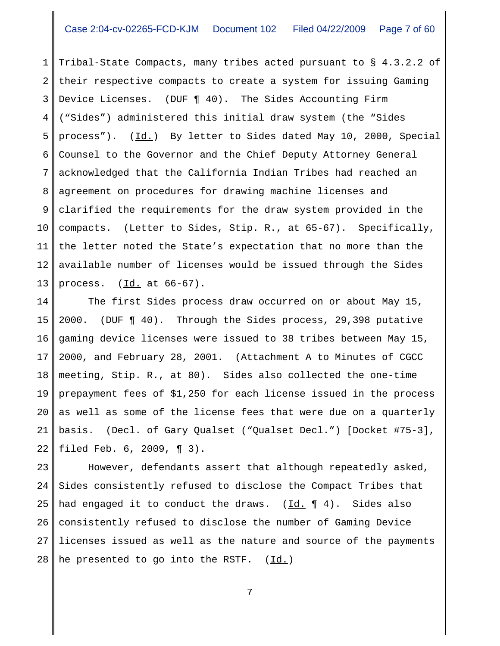1 2 3 4 5 6 7 8 9 10 11 12 13 Tribal-State Compacts, many tribes acted pursuant to § 4.3.2.2 of their respective compacts to create a system for issuing Gaming Device Licenses. (DUF ¶ 40). The Sides Accounting Firm ("Sides") administered this initial draw system (the "Sides process"). (Id.) By letter to Sides dated May 10, 2000, Special Counsel to the Governor and the Chief Deputy Attorney General acknowledged that the California Indian Tribes had reached an agreement on procedures for drawing machine licenses and clarified the requirements for the draw system provided in the compacts. (Letter to Sides, Stip. R., at 65-67). Specifically, the letter noted the State's expectation that no more than the available number of licenses would be issued through the Sides process.  $(\underline{Id.}$  at  $66-67)$ .

14 15 16 17 18 19 20 21 22 The first Sides process draw occurred on or about May 15, 2000. (DUF ¶ 40). Through the Sides process, 29,398 putative gaming device licenses were issued to 38 tribes between May 15, 2000, and February 28, 2001. (Attachment A to Minutes of CGCC meeting, Stip. R., at 80). Sides also collected the one-time prepayment fees of \$1,250 for each license issued in the process as well as some of the license fees that were due on a quarterly basis. (Decl. of Gary Qualset ("Qualset Decl.") [Docket #75-3], filed Feb. 6, 2009, ¶ 3).

23 24 25 26 27 28 However, defendants assert that although repeatedly asked, Sides consistently refused to disclose the Compact Tribes that had engaged it to conduct the draws.  $(\underline{Id.} \P 4)$ . Sides also consistently refused to disclose the number of Gaming Device licenses issued as well as the nature and source of the payments he presented to go into the RSTF. (Id.)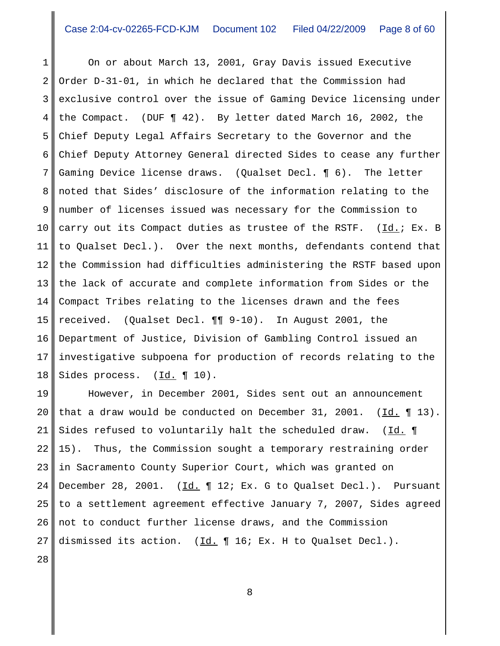1 2 3 4 5 6 7 8 9 10 11 12 13 14 15 16 17 18 On or about March 13, 2001, Gray Davis issued Executive Order D-31-01, in which he declared that the Commission had exclusive control over the issue of Gaming Device licensing under the Compact. (DUF ¶ 42). By letter dated March 16, 2002, the Chief Deputy Legal Affairs Secretary to the Governor and the Chief Deputy Attorney General directed Sides to cease any further Gaming Device license draws. (Qualset Decl. ¶ 6). The letter noted that Sides' disclosure of the information relating to the number of licenses issued was necessary for the Commission to carry out its Compact duties as trustee of the RSTF. (Id.; Ex. B to Qualset Decl.). Over the next months, defendants contend that the Commission had difficulties administering the RSTF based upon the lack of accurate and complete information from Sides or the Compact Tribes relating to the licenses drawn and the fees received. (Qualset Decl. ¶¶ 9-10). In August 2001, the Department of Justice, Division of Gambling Control issued an investigative subpoena for production of records relating to the Sides process. (Id. 10).

19 20 21 22 23 24 25 26 27 However, in December 2001, Sides sent out an announcement that a draw would be conducted on December 31, 2001.  $(\underline{Id.} \P 13)$ . Sides refused to voluntarily halt the scheduled draw. (Id. 1) 15). Thus, the Commission sought a temporary restraining order in Sacramento County Superior Court, which was granted on December 28, 2001. ( $\underline{Id.}$  | 12; Ex. G to Qualset Decl.). Pursuant to a settlement agreement effective January 7, 2007, Sides agreed not to conduct further license draws, and the Commission dismissed its action.  $(\underline{Id.} \P 16; Ex. H to Qualset Decl.).$ 

28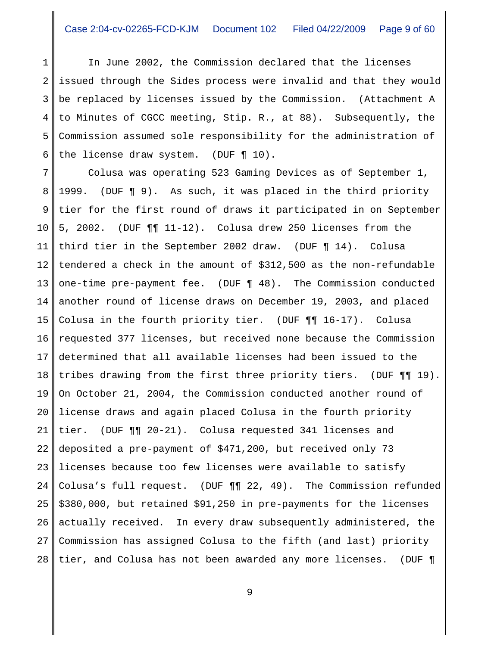1 2 3 4 5 6 In June 2002, the Commission declared that the licenses issued through the Sides process were invalid and that they would be replaced by licenses issued by the Commission. (Attachment A to Minutes of CGCC meeting, Stip. R., at 88). Subsequently, the Commission assumed sole responsibility for the administration of the license draw system. (DUF ¶ 10).

7 8 9 10 11 12 13 14 15 16 17 18 19 20 21 22 23 24 25 26 27 28 Colusa was operating 523 Gaming Devices as of September 1, 1999. (DUF ¶ 9). As such, it was placed in the third priority tier for the first round of draws it participated in on September 5, 2002. (DUF ¶¶ 11-12). Colusa drew 250 licenses from the third tier in the September 2002 draw. (DUF ¶ 14). Colusa tendered a check in the amount of \$312,500 as the non-refundable one-time pre-payment fee. (DUF ¶ 48). The Commission conducted another round of license draws on December 19, 2003, and placed Colusa in the fourth priority tier. (DUF ¶¶ 16-17). Colusa requested 377 licenses, but received none because the Commission determined that all available licenses had been issued to the tribes drawing from the first three priority tiers. (DUF ¶¶ 19). On October 21, 2004, the Commission conducted another round of license draws and again placed Colusa in the fourth priority tier. (DUF ¶¶ 20-21). Colusa requested 341 licenses and deposited a pre-payment of \$471,200, but received only 73 licenses because too few licenses were available to satisfy Colusa's full request. (DUF ¶¶ 22, 49). The Commission refunded \$380,000, but retained \$91,250 in pre-payments for the licenses actually received. In every draw subsequently administered, the Commission has assigned Colusa to the fifth (and last) priority tier, and Colusa has not been awarded any more licenses. (DUF ¶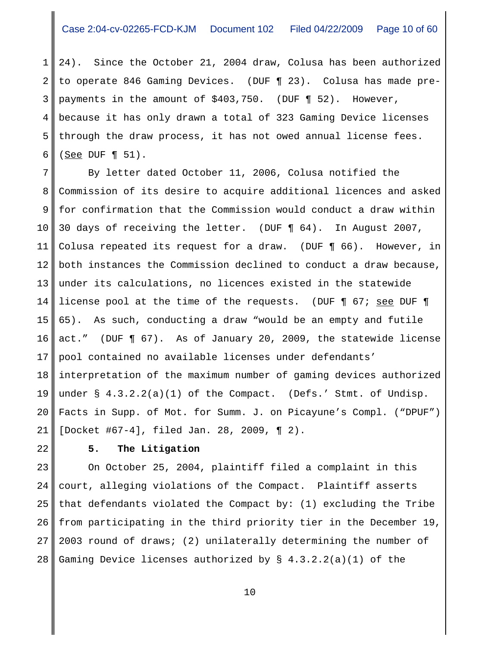1 2 3 4 5 6 24). Since the October 21, 2004 draw, Colusa has been authorized to operate 846 Gaming Devices. (DUF ¶ 23). Colusa has made prepayments in the amount of \$403,750. (DUF ¶ 52). However, because it has only drawn a total of 323 Gaming Device licenses through the draw process, it has not owed annual license fees.  $(See$  DUF ¶ 51).

7 8 9 10 11 12 13 14 15 16 17 18 19 20 21 By letter dated October 11, 2006, Colusa notified the Commission of its desire to acquire additional licences and asked for confirmation that the Commission would conduct a draw within 30 days of receiving the letter. (DUF ¶ 64). In August 2007, Colusa repeated its request for a draw. (DUF ¶ 66). However, in both instances the Commission declined to conduct a draw because, under its calculations, no licences existed in the statewide license pool at the time of the requests. (DUF ¶ 67; see DUF ¶ 65). As such, conducting a draw "would be an empty and futile act." (DUF ¶ 67). As of January 20, 2009, the statewide license pool contained no available licenses under defendants' interpretation of the maximum number of gaming devices authorized under § 4.3.2.2(a)(1) of the Compact. (Defs.' Stmt. of Undisp. Facts in Supp. of Mot. for Summ. J. on Picayune's Compl. ("DPUF") [Docket #67-4], filed Jan. 28, 2009, ¶ 2).

22

# **5. The Litigation**

23 24 25 26 27 28 On October 25, 2004, plaintiff filed a complaint in this court, alleging violations of the Compact. Plaintiff asserts that defendants violated the Compact by: (1) excluding the Tribe from participating in the third priority tier in the December 19, 2003 round of draws; (2) unilaterally determining the number of Gaming Device licenses authorized by  $\S$  4.3.2.2(a)(1) of the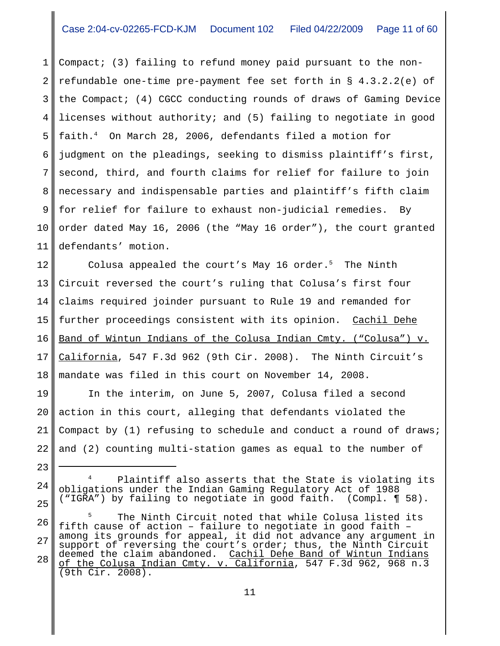1 2 3 4 5 6 7 8 9 10 11 Compact; (3) failing to refund money paid pursuant to the nonrefundable one-time pre-payment fee set forth in § 4.3.2.2(e) of the Compact; (4) CGCC conducting rounds of draws of Gaming Device licenses without authority; and (5) failing to negotiate in good faith.4 On March 28, 2006, defendants filed a motion for judgment on the pleadings, seeking to dismiss plaintiff's first, second, third, and fourth claims for relief for failure to join necessary and indispensable parties and plaintiff's fifth claim for relief for failure to exhaust non-judicial remedies. By order dated May 16, 2006 (the "May 16 order"), the court granted defendants' motion.

12 13 14 15 16 17 18 Colusa appealed the court's May 16 order.<sup>5</sup> The Ninth Circuit reversed the court's ruling that Colusa's first four claims required joinder pursuant to Rule 19 and remanded for further proceedings consistent with its opinion. Cachil Dehe Band of Wintun Indians of the Colusa Indian Cmty. ("Colusa") v. California, 547 F.3d 962 (9th Cir. 2008). The Ninth Circuit's mandate was filed in this court on November 14, 2008.

19 20 21 22 In the interim, on June 5, 2007, Colusa filed a second action in this court, alleging that defendants violated the Compact by (1) refusing to schedule and conduct a round of draws; and (2) counting multi-station games as equal to the number of

Plaintiff also asserts that the State is violating its obligations under the Indian Gaming Regulatory Act of 1988 ("IGRA") by failing to negotiate in good faith. (Compl. ¶ 58).

23

24

25

26 27 28 The Ninth Circuit noted that while Colusa listed its fifth cause of action – failure to negotiate in good faith – among its grounds for appeal, it did not advance any argument in support of reversing the court's order; thus, the Ninth Circuit deemed the claim abandoned. <u>Cachil Dehe Band of Wintun Indians</u> of the Colusa Indian Cmty. v. California, 547 F.3d 962, 968 n.3 (9th Cir. 2008).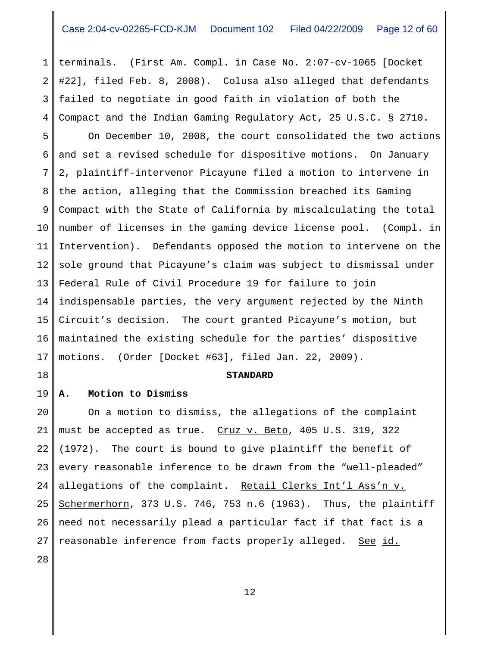1 2 3 4 terminals. (First Am. Compl. in Case No. 2:07-cv-1065 [Docket #22], filed Feb. 8, 2008). Colusa also alleged that defendants failed to negotiate in good faith in violation of both the Compact and the Indian Gaming Regulatory Act, 25 U.S.C. § 2710.

5 6 7 8 9 10 11 12 13 14 15 16 17 On December 10, 2008, the court consolidated the two actions and set a revised schedule for dispositive motions. On January 2, plaintiff-intervenor Picayune filed a motion to intervene in the action, alleging that the Commission breached its Gaming Compact with the State of California by miscalculating the total number of licenses in the gaming device license pool. (Compl. in Intervention). Defendants opposed the motion to intervene on the sole ground that Picayune's claim was subject to dismissal under Federal Rule of Civil Procedure 19 for failure to join indispensable parties, the very argument rejected by the Ninth Circuit's decision. The court granted Picayune's motion, but maintained the existing schedule for the parties' dispositive motions. (Order [Docket #63], filed Jan. 22, 2009).

### **STANDARD**

#### 19 **A. Motion to Dismiss**

20 21 22 23 24 25 26 27 On a motion to dismiss, the allegations of the complaint must be accepted as true. Cruz v. Beto, 405 U.S. 319, 322 (1972). The court is bound to give plaintiff the benefit of every reasonable inference to be drawn from the "well-pleaded" allegations of the complaint. Retail Clerks Int'l Ass'n v. Schermerhorn, 373 U.S. 746, 753 n.6 (1963). Thus, the plaintiff need not necessarily plead a particular fact if that fact is a reasonable inference from facts properly alleged. See id.

28

18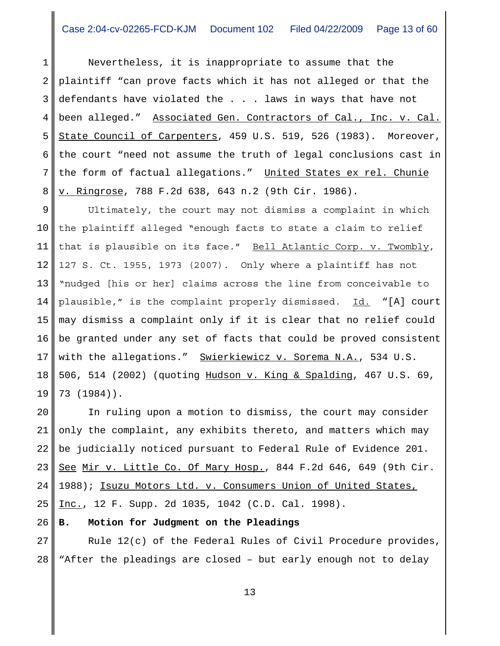1 2 3 4 5 6 7 8 Nevertheless, it is inappropriate to assume that the plaintiff "can prove facts which it has not alleged or that the defendants have violated the . . . laws in ways that have not been alleged." Associated Gen. Contractors of Cal., Inc. v. Cal. State Council of Carpenters, 459 U.S. 519, 526 (1983). Moreover, the court "need not assume the truth of legal conclusions cast in the form of factual allegations." United States ex rel. Chunie v. Ringrose, 788 F.2d 638, 643 n.2 (9th Cir. 1986).

9 10 11 12 13 14 15 16 17 18 19 Ultimately, the court may not dismiss a complaint in which the plaintiff alleged "enough facts to state a claim to relief that is plausible on its face." Bell Atlantic Corp. v. Twombly, 127 S. Ct. 1955, 1973 (2007). Only where a plaintiff has not "nudged [his or her] claims across the line from conceivable to plausible," is the complaint properly dismissed. Id. "[A] court may dismiss a complaint only if it is clear that no relief could be granted under any set of facts that could be proved consistent with the allegations." Swierkiewicz v. Sorema N.A., 534 U.S. 506, 514 (2002) (quoting Hudson v. King & Spalding, 467 U.S. 69, 73 (1984)).

20 21 22 23 24 25 In ruling upon a motion to dismiss, the court may consider only the complaint, any exhibits thereto, and matters which may be judicially noticed pursuant to Federal Rule of Evidence 201. See Mir v. Little Co. Of Mary Hosp., 844 F.2d 646, 649 (9th Cir. 1988); Isuzu Motors Ltd. v. Consumers Union of United States, Inc., 12 F. Supp. 2d 1035, 1042 (C.D. Cal. 1998).

#### 26 **B. Motion for Judgment on the Pleadings**

27 28 Rule 12(c) of the Federal Rules of Civil Procedure provides, "After the pleadings are closed – but early enough not to delay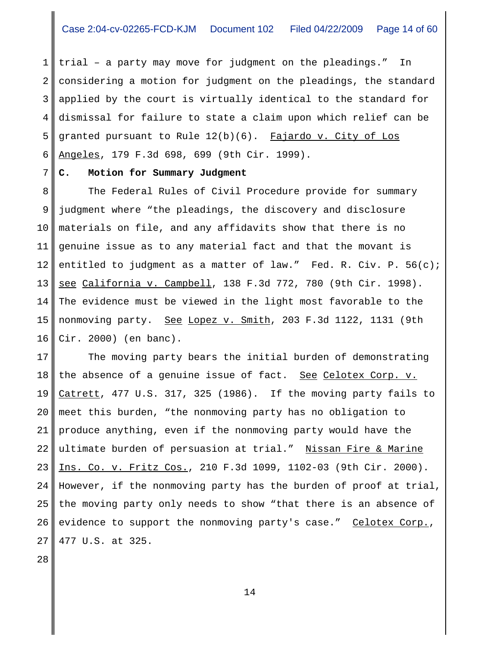1 2 3 4 5 6 trial – a party may move for judgment on the pleadings." In considering a motion for judgment on the pleadings, the standard applied by the court is virtually identical to the standard for dismissal for failure to state a claim upon which relief can be granted pursuant to Rule  $12(b)(6)$ . Fajardo v. City of Los Angeles, 179 F.3d 698, 699 (9th Cir. 1999).

#### 7 **C. Motion for Summary Judgment**

8 9 10 11 12 13 14 15 16 The Federal Rules of Civil Procedure provide for summary judgment where "the pleadings, the discovery and disclosure materials on file, and any affidavits show that there is no genuine issue as to any material fact and that the movant is entitled to judgment as a matter of law." Fed. R. Civ. P. 56(c); see California v. Campbell, 138 F.3d 772, 780 (9th Cir. 1998). The evidence must be viewed in the light most favorable to the nonmoving party. See Lopez v. Smith, 203 F.3d 1122, 1131 (9th Cir. 2000) (en banc).

17 18 19 20 21 22 23 24 25 26 27 The moving party bears the initial burden of demonstrating the absence of a genuine issue of fact. See Celotex Corp. v. Catrett, 477 U.S. 317, 325 (1986). If the moving party fails to meet this burden, "the nonmoving party has no obligation to produce anything, even if the nonmoving party would have the ultimate burden of persuasion at trial." Nissan Fire & Marine Ins. Co. v. Fritz Cos., 210 F.3d 1099, 1102-03 (9th Cir. 2000). However, if the nonmoving party has the burden of proof at trial, the moving party only needs to show "that there is an absence of evidence to support the nonmoving party's case." Celotex Corp., 477 U.S. at 325.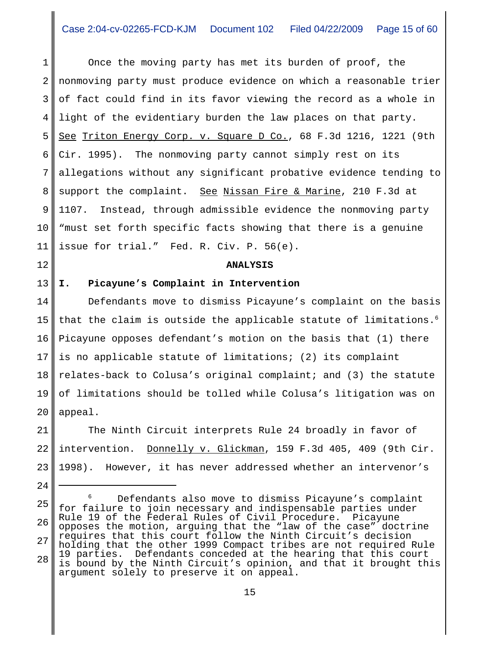1 2 3 4 5 6 7 8 9 10 11 Once the moving party has met its burden of proof, the nonmoving party must produce evidence on which a reasonable trier of fact could find in its favor viewing the record as a whole in light of the evidentiary burden the law places on that party. See Triton Energy Corp. v. Square D Co., 68 F.3d 1216, 1221 (9th Cir. 1995). The nonmoving party cannot simply rest on its allegations without any significant probative evidence tending to support the complaint. See Nissan Fire & Marine, 210 F.3d at 1107. Instead, through admissible evidence the nonmoving party "must set forth specific facts showing that there is a genuine issue for trial." Fed. R. Civ. P. 56(e).

### **ANALYSIS**

13 **I. Picayune's Complaint in Intervention**

12

24

14 15 16 17 18 19 20 Defendants move to dismiss Picayune's complaint on the basis that the claim is outside the applicable statute of limitations.<sup>6</sup> Picayune opposes defendant's motion on the basis that (1) there is no applicable statute of limitations; (2) its complaint relates-back to Colusa's original complaint; and (3) the statute of limitations should be tolled while Colusa's litigation was on appeal.

21 22 23 The Ninth Circuit interprets Rule 24 broadly in favor of intervention. Donnelly v. Glickman, 159 F.3d 405, 409 (9th Cir. 1998). However, it has never addressed whether an intervenor's

25 26 27 28 <sup>6</sup> Defendants also move to dismiss Picayune's complaint for failure to join necessary and indispensable parties under Rule 19 of the Federal Rules of Civil Procedure. Picayune opposes the motion, arguing that the "law of the case" doctrine requires that this court follow the Ninth Circuit's decision holding that the other 1999 Compact tribes are not required Rule 19 parties. Defendants conceded at the hearing that this court is bound by the Ninth Circuit's opinion, and that it brought this argument solely to preserve it on appeal.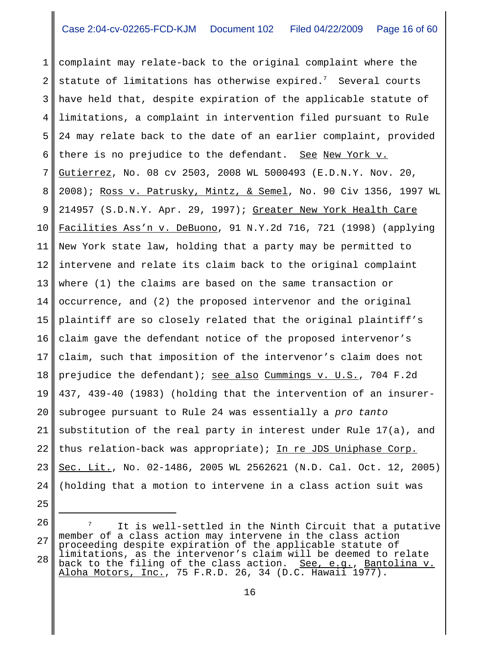1 2 3 4 5 6 7 8 9 10 11 12 13 14 15 16 17 18 19 20 21 22 23 24 complaint may relate-back to the original complaint where the statute of limitations has otherwise expired. $^7$  Several courts have held that, despite expiration of the applicable statute of limitations, a complaint in intervention filed pursuant to Rule 24 may relate back to the date of an earlier complaint, provided there is no prejudice to the defendant. See New York v. Gutierrez, No. 08 cv 2503, 2008 WL 5000493 (E.D.N.Y. Nov. 20, 2008); Ross v. Patrusky, Mintz, & Semel, No. 90 Civ 1356, 1997 WL 214957 (S.D.N.Y. Apr. 29, 1997); Greater New York Health Care Facilities Ass'n v. DeBuono, 91 N.Y.2d 716, 721 (1998) (applying New York state law, holding that a party may be permitted to intervene and relate its claim back to the original complaint where (1) the claims are based on the same transaction or occurrence, and (2) the proposed intervenor and the original plaintiff are so closely related that the original plaintiff's claim gave the defendant notice of the proposed intervenor's claim, such that imposition of the intervenor's claim does not prejudice the defendant); see also Cummings v. U.S., 704 F.2d 437, 439-40 (1983) (holding that the intervention of an insurersubrogee pursuant to Rule 24 was essentially a *pro tanto* substitution of the real party in interest under Rule 17(a), and thus relation-back was appropriate); In re JDS Uniphase Corp. Sec. Lit., No. 02-1486, 2005 WL 2562621 (N.D. Cal. Oct. 12, 2005) (holding that a motion to intervene in a class action suit was

- 25
- 26

<sup>27</sup> 28  $7$  It is well-settled in the Ninth Circuit that a putative member of a class action may intervene in the class action proceeding despite expiration of the applicable statute of limitations, as the intervenor's claim will be deemed to relate back to the filing of the class action. See, e.g., Bantolina v.

Aloha Motors, Inc., 75 F.R.D. 26, 34 (D.C. Hawaii 1977).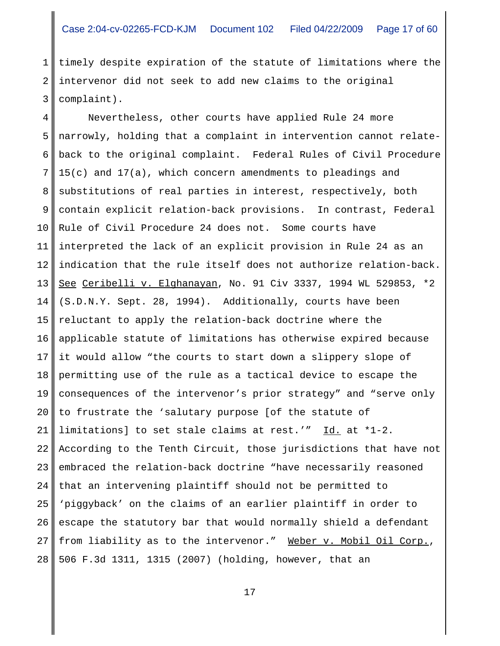1 2 3 timely despite expiration of the statute of limitations where the intervenor did not seek to add new claims to the original complaint).

4 5 6 7 8 9 10 11 12 13 14 15 16 17 18 19 20 21 22 23 24 25 26 27 28 Nevertheless, other courts have applied Rule 24 more narrowly, holding that a complaint in intervention cannot relateback to the original complaint. Federal Rules of Civil Procedure 15(c) and 17(a), which concern amendments to pleadings and substitutions of real parties in interest, respectively, both contain explicit relation-back provisions. In contrast, Federal Rule of Civil Procedure 24 does not. Some courts have interpreted the lack of an explicit provision in Rule 24 as an indication that the rule itself does not authorize relation-back. See Ceribelli v. Elghanayan, No. 91 Civ 3337, 1994 WL 529853, \*2 (S.D.N.Y. Sept. 28, 1994). Additionally, courts have been reluctant to apply the relation-back doctrine where the applicable statute of limitations has otherwise expired because it would allow "the courts to start down a slippery slope of permitting use of the rule as a tactical device to escape the consequences of the intervenor's prior strategy" and "serve only to frustrate the 'salutary purpose [of the statute of limitations] to set stale claims at rest.'"  $\underline{Id.}$  at \*1-2. According to the Tenth Circuit, those jurisdictions that have not embraced the relation-back doctrine "have necessarily reasoned that an intervening plaintiff should not be permitted to 'piggyback' on the claims of an earlier plaintiff in order to escape the statutory bar that would normally shield a defendant from liability as to the intervenor." Weber v. Mobil Oil Corp., 506 F.3d 1311, 1315 (2007) (holding, however, that an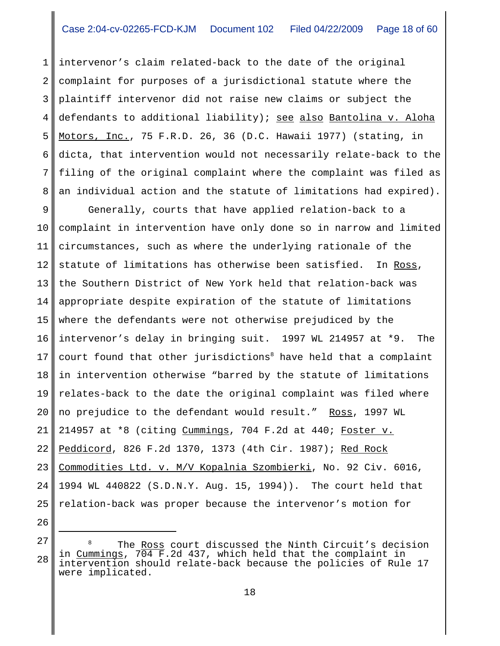1 2 3 4 5 6 7 8 intervenor's claim related-back to the date of the original complaint for purposes of a jurisdictional statute where the plaintiff intervenor did not raise new claims or subject the defendants to additional liability); see also Bantolina v. Aloha Motors, Inc., 75 F.R.D. 26, 36 (D.C. Hawaii 1977) (stating, in dicta, that intervention would not necessarily relate-back to the filing of the original complaint where the complaint was filed as an individual action and the statute of limitations had expired).

9 10 11 12 13 14 15 16 17 18 19 20 21 22 23 24 25 Generally, courts that have applied relation-back to a complaint in intervention have only done so in narrow and limited circumstances, such as where the underlying rationale of the statute of limitations has otherwise been satisfied. In Ross, the Southern District of New York held that relation-back was appropriate despite expiration of the statute of limitations where the defendants were not otherwise prejudiced by the intervenor's delay in bringing suit. 1997 WL 214957 at \*9. The court found that other jurisdictions<sup>8</sup> have held that a complaint in intervention otherwise "barred by the statute of limitations relates-back to the date the original complaint was filed where no prejudice to the defendant would result." Ross, 1997 WL 214957 at \*8 (citing Cummings, 704 F.2d at 440; Foster v. Peddicord, 826 F.2d 1370, 1373 (4th Cir. 1987); Red Rock Commodities Ltd. v. M/V Kopalnia Szombierki, No. 92 Civ. 6016, 1994 WL 440822 (S.D.N.Y. Aug. 15, 1994)). The court held that relation-back was proper because the intervenor's motion for

<sup>28</sup> The Ross court discussed the Ninth Circuit's decision in Cummings, 704 F.2d 437, which held that the complaint in intervention should relate-back because the policies of Rule 17 were implicated.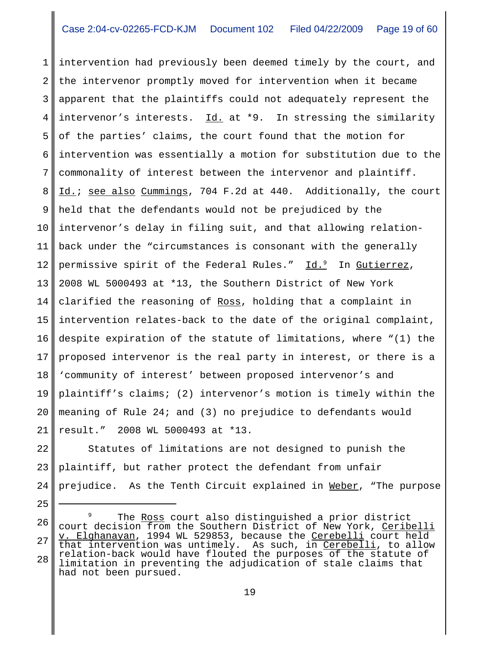1 2 3 4 5 6 7 8 9 10 11 12 13 14 15 16 17 18 19 20 21 intervention had previously been deemed timely by the court, and the intervenor promptly moved for intervention when it became apparent that the plaintiffs could not adequately represent the intervenor's interests.  $Id.$  at \*9. In stressing the similarity of the parties' claims, the court found that the motion for intervention was essentially a motion for substitution due to the commonality of interest between the intervenor and plaintiff. Id.; see also Cummings, 704 F.2d at 440. Additionally, the court held that the defendants would not be prejudiced by the intervenor's delay in filing suit, and that allowing relationback under the "circumstances is consonant with the generally permissive spirit of the Federal Rules." Id.<sup>9</sup> In <u>Gutierrez</u>, 2008 WL 5000493 at \*13, the Southern District of New York clarified the reasoning of Ross, holding that a complaint in intervention relates-back to the date of the original complaint, despite expiration of the statute of limitations, where "(1) the proposed intervenor is the real party in interest, or there is a 'community of interest' between proposed intervenor's and plaintiff's claims; (2) intervenor's motion is timely within the meaning of Rule 24; and (3) no prejudice to defendants would result." 2008 WL 5000493 at \*13.

22 23 24 Statutes of limitations are not designed to punish the plaintiff, but rather protect the defendant from unfair prejudice. As the Tenth Circuit explained in Weber, "The purpose

<sup>26</sup> 27 28 The Ross court also distinguished a prior district court decision from the Southern District of New York, Ceribelli v. Elghanayan, 1994 WL 529853, because the Cerebelli court held that intervention was untimely. As such, in Cerebelli, to allow relation-back would have flouted the purposes of the statute of limitation in preventing the adjudication of stale claims that had not been pursued.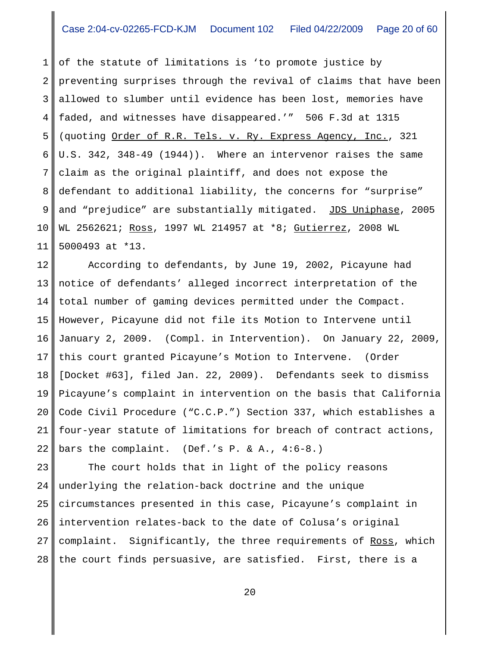1 2 3 4 5 6 7 8 9 10 11 of the statute of limitations is 'to promote justice by preventing surprises through the revival of claims that have been allowed to slumber until evidence has been lost, memories have faded, and witnesses have disappeared.'" 506 F.3d at 1315 (quoting Order of R.R. Tels. v. Ry. Express Agency, Inc., 321 U.S. 342, 348-49 (1944)). Where an intervenor raises the same claim as the original plaintiff, and does not expose the defendant to additional liability, the concerns for "surprise" and "prejudice" are substantially mitigated. JDS Uniphase, 2005 WL 2562621; Ross, 1997 WL 214957 at \*8; Gutierrez, 2008 WL 5000493 at \*13.

12 13 14 15 16 17 18 19 20 21 22 According to defendants, by June 19, 2002, Picayune had notice of defendants' alleged incorrect interpretation of the total number of gaming devices permitted under the Compact. However, Picayune did not file its Motion to Intervene until January 2, 2009. (Compl. in Intervention). On January 22, 2009, this court granted Picayune's Motion to Intervene. (Order [Docket #63], filed Jan. 22, 2009). Defendants seek to dismiss Picayune's complaint in intervention on the basis that California Code Civil Procedure ("C.C.P.") Section 337, which establishes a four-year statute of limitations for breach of contract actions, bars the complaint. (Def.'s P. & A.,  $4:6-8.$ )

23 24 25 26 27 28 The court holds that in light of the policy reasons underlying the relation-back doctrine and the unique circumstances presented in this case, Picayune's complaint in intervention relates-back to the date of Colusa's original complaint. Significantly, the three requirements of Ross, which the court finds persuasive, are satisfied. First, there is a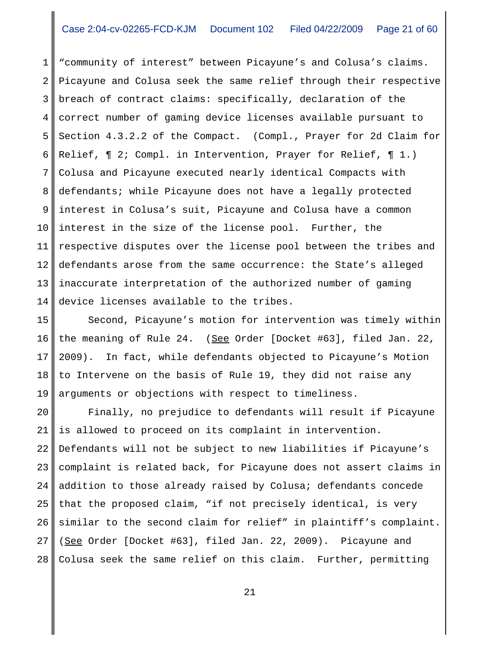1 2 3 4 5 6 7 8 9 10 11 12 13 14 "community of interest" between Picayune's and Colusa's claims. Picayune and Colusa seek the same relief through their respective breach of contract claims: specifically, declaration of the correct number of gaming device licenses available pursuant to Section 4.3.2.2 of the Compact. (Compl., Prayer for 2d Claim for Relief, ¶ 2; Compl. in Intervention, Prayer for Relief, ¶ 1.) Colusa and Picayune executed nearly identical Compacts with defendants; while Picayune does not have a legally protected interest in Colusa's suit, Picayune and Colusa have a common interest in the size of the license pool. Further, the respective disputes over the license pool between the tribes and defendants arose from the same occurrence: the State's alleged inaccurate interpretation of the authorized number of gaming device licenses available to the tribes.

15 16 17 18 19 Second, Picayune's motion for intervention was timely within the meaning of Rule 24. (See Order [Docket #63], filed Jan. 22, 2009). In fact, while defendants objected to Picayune's Motion to Intervene on the basis of Rule 19, they did not raise any arguments or objections with respect to timeliness.

20 21 22 23 24 25 26 27 28 Finally, no prejudice to defendants will result if Picayune is allowed to proceed on its complaint in intervention. Defendants will not be subject to new liabilities if Picayune's complaint is related back, for Picayune does not assert claims in addition to those already raised by Colusa; defendants concede that the proposed claim, "if not precisely identical, is very similar to the second claim for relief" in plaintiff's complaint. (See Order [Docket #63], filed Jan. 22, 2009). Picayune and Colusa seek the same relief on this claim. Further, permitting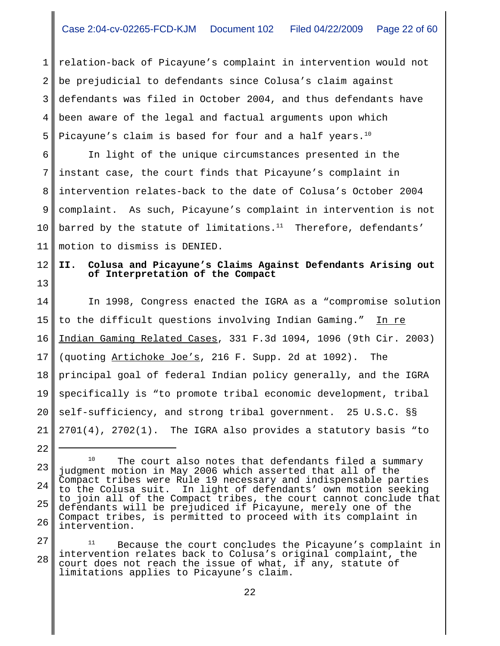1 2 3 4 5 relation-back of Picayune's complaint in intervention would not be prejudicial to defendants since Colusa's claim against defendants was filed in October 2004, and thus defendants have been aware of the legal and factual arguments upon which Picayune's claim is based for four and a half years.<sup>10</sup>

6 7 8 9 10 11 In light of the unique circumstances presented in the instant case, the court finds that Picayune's complaint in intervention relates-back to the date of Colusa's October 2004 complaint. As such, Picayune's complaint in intervention is not barred by the statute of limitations. $11$  Therefore, defendants' motion to dismiss is DENIED.

### 12 13 **II. Colusa and Picayune's Claims Against Defendants Arising out of Interpretation of the Compact**

14 15 16 17 18 19 20 21 In 1998, Congress enacted the IGRA as a "compromise solution to the difficult questions involving Indian Gaming." In re Indian Gaming Related Cases, 331 F.3d 1094, 1096 (9th Cir. 2003) (quoting Artichoke Joe's, 216 F. Supp. 2d at 1092). The principal goal of federal Indian policy generally, and the IGRA specifically is "to promote tribal economic development, tribal self-sufficiency, and strong tribal government. 25 U.S.C. §§ 2701(4), 2702(1). The IGRA also provides a statutory basis "to

22

27 28 Because the court concludes the Picayune's complaint in intervention relates back to Colusa's original complaint, the court does not reach the issue of what, if any, statute of limitations applies to Picayune's claim.

<sup>23</sup> 24 25 26 <sup>10</sup> The court also notes that defendants filed a summary judgment motion in May 2006 which asserted that all of the Compact tribes were Rule 19 necessary and indispensable parties<br>to the Colusa suit. In light of defendants' own motion seeking In light of defendants' own motion seeking to join all of the Compact tribes, the court cannot conclude that defendants will be prejudiced if Picayune, merely one of the Compact tribes, is permitted to proceed with its complaint in intervention.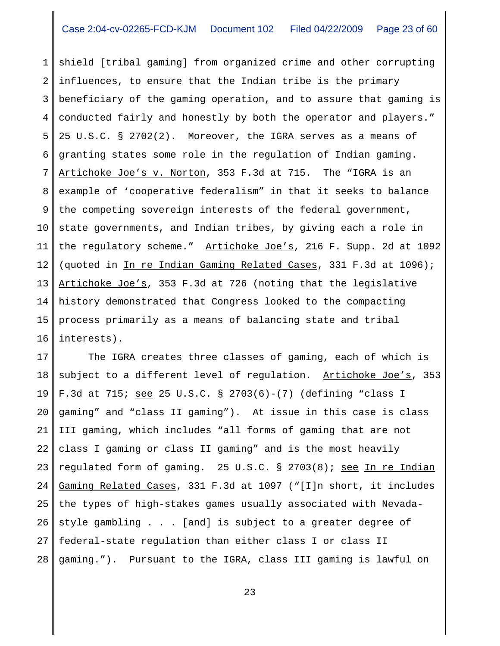1 2 3 4 5 6 7 8 9 10 11 12 13 14 15 16 shield [tribal gaming] from organized crime and other corrupting influences, to ensure that the Indian tribe is the primary beneficiary of the gaming operation, and to assure that gaming is conducted fairly and honestly by both the operator and players." 25 U.S.C. § 2702(2). Moreover, the IGRA serves as a means of granting states some role in the regulation of Indian gaming. Artichoke Joe's v. Norton, 353 F.3d at 715. The "IGRA is an example of 'cooperative federalism" in that it seeks to balance the competing sovereign interests of the federal government, state governments, and Indian tribes, by giving each a role in the regulatory scheme." Artichoke Joe's, 216 F. Supp. 2d at 1092 (quoted in In re Indian Gaming Related Cases, 331 F.3d at 1096); Artichoke Joe's, 353 F.3d at 726 (noting that the legislative history demonstrated that Congress looked to the compacting process primarily as a means of balancing state and tribal interests).

17 18 19 20 21 22 23 24 25 26 27 28 The IGRA creates three classes of gaming, each of which is subject to a different level of regulation. Artichoke Joe's, 353 F.3d at 715; see 25 U.S.C. § 2703(6)-(7) (defining "class I gaming" and "class II gaming"). At issue in this case is class III gaming, which includes "all forms of gaming that are not class I gaming or class II gaming" and is the most heavily regulated form of gaming. 25 U.S.C. § 2703(8); see In re Indian Gaming Related Cases, 331 F.3d at 1097 ("[I]n short, it includes the types of high-stakes games usually associated with Nevadastyle gambling . . . [and] is subject to a greater degree of federal-state regulation than either class I or class II gaming."). Pursuant to the IGRA, class III gaming is lawful on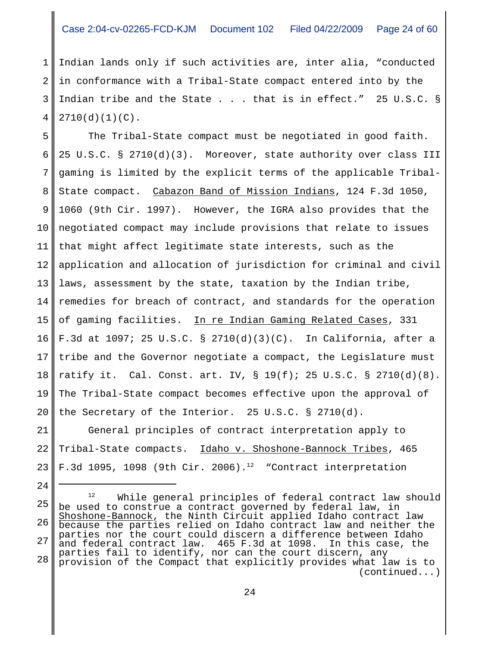1 2 3 4 Indian lands only if such activities are, inter alia, "conducted in conformance with a Tribal-State compact entered into by the Indian tribe and the State . . . that is in effect." 25 U.S.C. § 2710(d)(1)(C).

5 6 7 8 9 10 11 12 13 14 15 16 17 18 19 20 The Tribal-State compact must be negotiated in good faith. 25 U.S.C. § 2710(d)(3). Moreover, state authority over class III gaming is limited by the explicit terms of the applicable Tribal-State compact. Cabazon Band of Mission Indians, 124 F.3d 1050, 1060 (9th Cir. 1997). However, the IGRA also provides that the negotiated compact may include provisions that relate to issues that might affect legitimate state interests, such as the application and allocation of jurisdiction for criminal and civil laws, assessment by the state, taxation by the Indian tribe, remedies for breach of contract, and standards for the operation of gaming facilities. In re Indian Gaming Related Cases, 331 F.3d at 1097; 25 U.S.C. § 2710(d)(3)(C). In California, after a tribe and the Governor negotiate a compact, the Legislature must ratify it. Cal. Const. art. IV, § 19(f); 25 U.S.C. § 2710(d)(8). The Tribal-State compact becomes effective upon the approval of the Secretary of the Interior. 25 U.S.C. § 2710(d).

21 22 23 General principles of contract interpretation apply to Tribal-State compacts. Idaho v. Shoshone-Bannock Tribes, 465 F.3d 1095, 1098 (9th Cir. 2006).<sup>12</sup> "Contract interpretation

24

25 26 27 28 12 While general principles of federal contract law should be used to construe a contract governed by federal law, in Shoshone-Bannock, the Ninth Circuit applied Idaho contract law because the parties relied on Idaho contract law and neither the parties nor the court could discern a difference between Idaho and federal contract law. 465 F.3d at 1098. In this case, the parties fail to identify, nor can the court discern, any provision of the Compact that explicitly provides what law is to (continued...)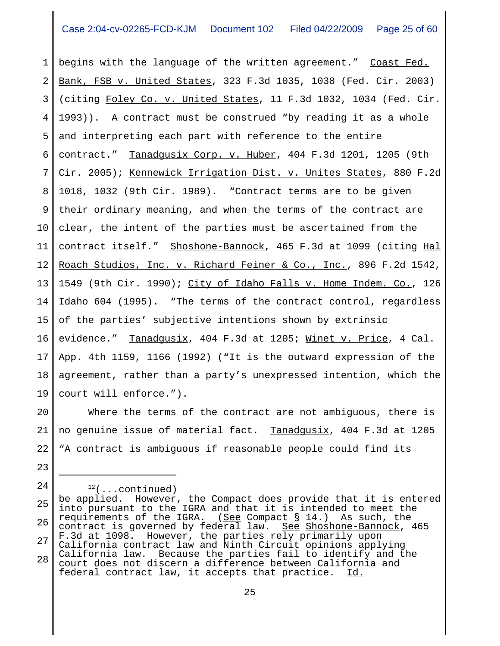1 2 3 4 5 6 7 8 9 10 11 12 13 14 15 16 17 18 19 begins with the language of the written agreement." Coast Fed. Bank, FSB v. United States, 323 F.3d 1035, 1038 (Fed. Cir. 2003) (citing Foley Co. v. United States, 11 F.3d 1032, 1034 (Fed. Cir. 1993)). A contract must be construed "by reading it as a whole and interpreting each part with reference to the entire contract." Tanadqusix Corp. v. Huber, 404 F.3d 1201, 1205 (9th Cir. 2005); Kennewick Irrigation Dist. v. Unites States, 880 F.2d 1018, 1032 (9th Cir. 1989). "Contract terms are to be given their ordinary meaning, and when the terms of the contract are clear, the intent of the parties must be ascertained from the contract itself." Shoshone-Bannock, 465 F.3d at 1099 (citing Hal Roach Studios, Inc. v. Richard Feiner & Co., Inc., 896 F.2d 1542, 1549 (9th Cir. 1990); City of Idaho Falls v. Home Indem. Co., 126 Idaho 604 (1995). "The terms of the contract control, regardless of the parties' subjective intentions shown by extrinsic evidence." Tanadgusix, 404 F.3d at 1205; Winet v. Price, 4 Cal. App. 4th 1159, 1166 (1992) ("It is the outward expression of the agreement, rather than a party's unexpressed intention, which the court will enforce.").

20 21 22 Where the terms of the contract are not ambiguous, there is no genuine issue of material fact. Tanadgusix, 404 F.3d at 1205 "A contract is ambiguous if reasonable people could find its

23

24

25 26 27 28  $12$ (...continued) be applied. However, the Compact does provide that it is entered into pursuant to the IGRA and that it is intended to meet the requirements of the IGRA. ( $See$  Compact  $\S$  14.) As such, the contract is governed by federal law. See Shoshone-Bannock, 465</u> contract is governed by federal law. F.3d at 1098. However, the parties rely primarily upon California contract law and Ninth Circuit opinions applying California law. Because the parties fail to identify and the court does not discern a difference between California and<br>federal contract law, it accepts that practice. Id. federal contract law, it accepts that practice.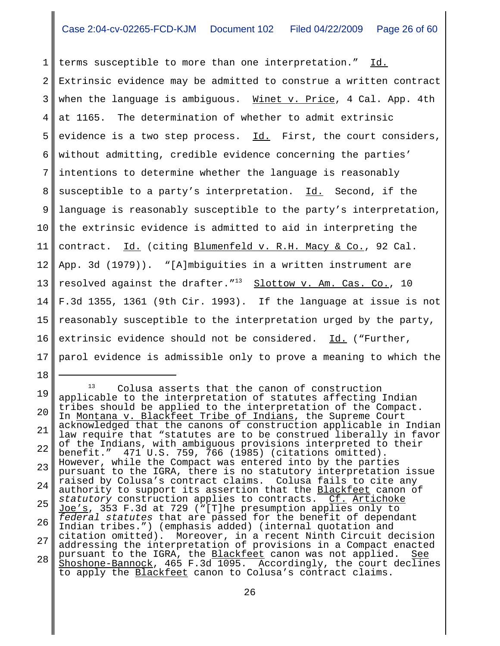1 2 3 4 5 6 7 8 9 10 11 12 13 14 15 16 17 terms susceptible to more than one interpretation." Id. Extrinsic evidence may be admitted to construe a written contract when the language is ambiguous. Winet v. Price, 4 Cal. App. 4th at 1165. The determination of whether to admit extrinsic evidence is a two step process. Id. First, the court considers, without admitting, credible evidence concerning the parties' intentions to determine whether the language is reasonably susceptible to a party's interpretation. Id. Second, if the language is reasonably susceptible to the party's interpretation, the extrinsic evidence is admitted to aid in interpreting the contract. Id. (citing Blumenfeld v. R.H. Macy & Co., 92 Cal. App. 3d (1979)). "[A]mbiguities in a written instrument are resolved against the drafter."<sup>13</sup> Slottow v. Am. Cas. Co., 10 F.3d 1355, 1361 (9th Cir. 1993). If the language at issue is not reasonably susceptible to the interpretation urged by the party, extrinsic evidence should not be considered. Id. ("Further, parol evidence is admissible only to prove a meaning to which the

19 20 21 22 23 24 25 26 27 28 <sup>13</sup> Colusa asserts that the canon of construction applicable to the interpretation of statutes affecting Indian tribes should be applied to the interpretation of the Compact. In Montana v. Blackfeet Tribe of Indians, the Supreme Court acknowledged that the canons of construction applicable in Indian law require that "statutes are to be construed liberally in favor of the Indians, with ambiguous provisions interpreted to their<br>benefit." 471 U.S. 759, 766 (1985) (citations omitted). benefit." 471 U.S. 759, 766 (1985) (citations omitted). However, while the Compact was entered into by the parties pursuant to the IGRA, there is no statutory interpretation issue raised by Colusa's contract claims. Colusa fails to cite any authority to support its assertion that the Blackfeet canon of *statutory* construction applies to contracts. Cf. Artichoke Joe's, 353 F.3d at 729 ("[T]he presumption applies only to *federal statutes* that are passed for the benefit of dependant Indian tribes.") (emphasis added) (internal quotation and citation omitted). Moreover, in a recent Ninth Circuit decision addressing the interpretation of provisions in a Compact enacted pursuant to the IGRA, the <u>Blackfeet</u> canon was not applied. <u>See</u> Shoshone-Bannock, 465 F.3d 1095. Accordingly, the court declines to apply the Blackfeet canon to Colusa's contract claims.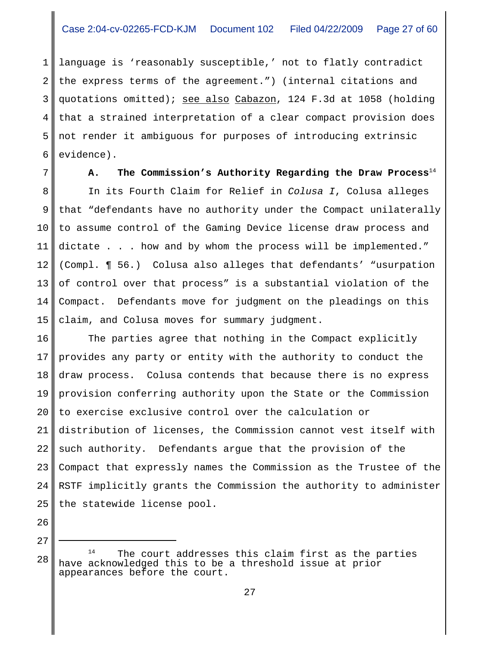1 2 3 4 5 6 language is 'reasonably susceptible,' not to flatly contradict the express terms of the agreement.") (internal citations and quotations omitted); see also Cabazon, 124 F.3d at 1058 (holding that a strained interpretation of a clear compact provision does not render it ambiguous for purposes of introducing extrinsic evidence).

7

**A. The Commission's Authority Regarding the Draw Process**<sup>14</sup>

8 9 10 11 12 13 14 15 In its Fourth Claim for Relief in *Colusa I*, Colusa alleges that "defendants have no authority under the Compact unilaterally to assume control of the Gaming Device license draw process and dictate . . . how and by whom the process will be implemented." (Compl. ¶ 56.) Colusa also alleges that defendants' "usurpation of control over that process" is a substantial violation of the Compact. Defendants move for judgment on the pleadings on this claim, and Colusa moves for summary judgment.

16 17 18 19 20 21 22 23 24 25 The parties agree that nothing in the Compact explicitly provides any party or entity with the authority to conduct the draw process. Colusa contends that because there is no express provision conferring authority upon the State or the Commission to exercise exclusive control over the calculation or distribution of licenses, the Commission cannot vest itself with such authority. Defendants argue that the provision of the Compact that expressly names the Commission as the Trustee of the RSTF implicitly grants the Commission the authority to administer the statewide license pool.

 $28 \text{ m}$   $\text{m}$  The court addresses this claim first as the parties have acknowledged this to be a threshold issue at prior appearances before the court.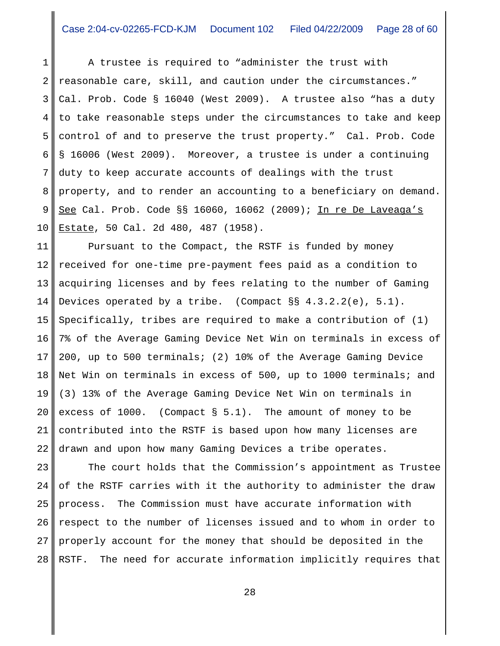1 2 3 4 5 6 7 8 9 10 A trustee is required to "administer the trust with reasonable care, skill, and caution under the circumstances." Cal. Prob. Code § 16040 (West 2009). A trustee also "has a duty to take reasonable steps under the circumstances to take and keep control of and to preserve the trust property." Cal. Prob. Code § 16006 (West 2009). Moreover, a trustee is under a continuing duty to keep accurate accounts of dealings with the trust property, and to render an accounting to a beneficiary on demand. See Cal. Prob. Code §§ 16060, 16062 (2009); In re De Laveaga's Estate, 50 Cal. 2d 480, 487 (1958).

11 12 13 14 15 16 17 18 19 20 21 22 Pursuant to the Compact, the RSTF is funded by money received for one-time pre-payment fees paid as a condition to acquiring licenses and by fees relating to the number of Gaming Devices operated by a tribe. (Compact §§ 4.3.2.2(e), 5.1). Specifically, tribes are required to make a contribution of (1) 7% of the Average Gaming Device Net Win on terminals in excess of 200, up to 500 terminals; (2) 10% of the Average Gaming Device Net Win on terminals in excess of 500, up to 1000 terminals; and (3) 13% of the Average Gaming Device Net Win on terminals in excess of 1000. (Compact § 5.1). The amount of money to be contributed into the RSTF is based upon how many licenses are drawn and upon how many Gaming Devices a tribe operates.

23 24 25 26 27 28 The court holds that the Commission's appointment as Trustee of the RSTF carries with it the authority to administer the draw process. The Commission must have accurate information with respect to the number of licenses issued and to whom in order to properly account for the money that should be deposited in the RSTF. The need for accurate information implicitly requires that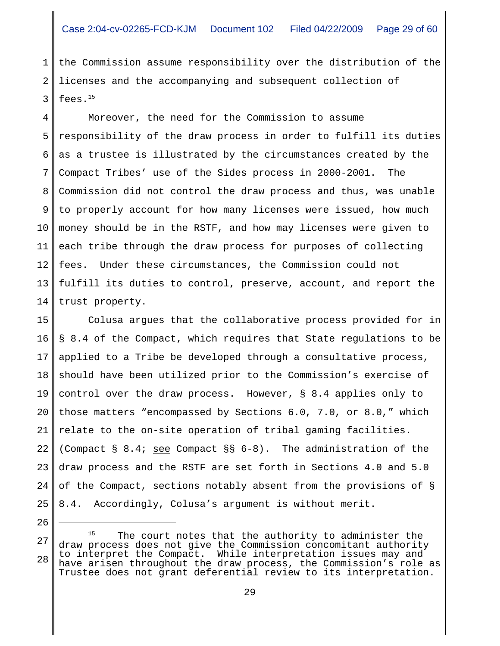1 2 3 the Commission assume responsibility over the distribution of the licenses and the accompanying and subsequent collection of fees. $15$ 

4 5 6 7 8 9 10 11 12 13 14 Moreover, the need for the Commission to assume responsibility of the draw process in order to fulfill its duties as a trustee is illustrated by the circumstances created by the Compact Tribes' use of the Sides process in 2000-2001. The Commission did not control the draw process and thus, was unable to properly account for how many licenses were issued, how much money should be in the RSTF, and how may licenses were given to each tribe through the draw process for purposes of collecting fees. Under these circumstances, the Commission could not fulfill its duties to control, preserve, account, and report the trust property.

15 16 17 18 19 20 21 22 23 24 25 Colusa argues that the collaborative process provided for in § 8.4 of the Compact, which requires that State regulations to be applied to a Tribe be developed through a consultative process, should have been utilized prior to the Commission's exercise of control over the draw process. However, § 8.4 applies only to those matters "encompassed by Sections 6.0, 7.0, or 8.0," which relate to the on-site operation of tribal gaming facilities. (Compact § 8.4; see Compact §§  $6-8$ ). The administration of the draw process and the RSTF are set forth in Sections 4.0 and 5.0 of the Compact, sections notably absent from the provisions of § 8.4. Accordingly, Colusa's argument is without merit.

<sup>27</sup> 28 The court notes that the authority to administer the draw process does not give the Commission concomitant authority to interpret the Compact. While interpretation issues may and have arisen throughout the draw process, the Commission's role as Trustee does not grant deferential review to its interpretation.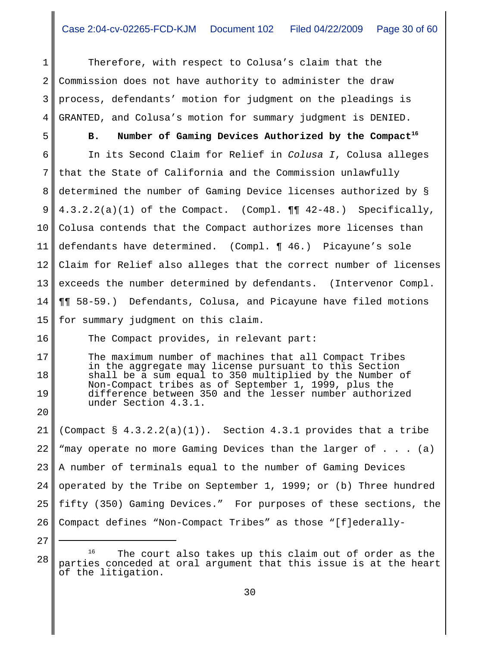1 2 3 4 Therefore, with respect to Colusa's claim that the Commission does not have authority to administer the draw process, defendants' motion for judgment on the pleadings is GRANTED, and Colusa's motion for summary judgment is DENIED.

5 6 7 8 9 10 11 12 13 14 15 B. Number of Gaming Devices Authorized by the Compact<sup>16</sup> In its Second Claim for Relief in *Colusa I*, Colusa alleges that the State of California and the Commission unlawfully determined the number of Gaming Device licenses authorized by § 4.3.2.2(a)(1) of the Compact. (Compl. ¶¶ 42-48.) Specifically, Colusa contends that the Compact authorizes more licenses than defendants have determined. (Compl. ¶ 46.) Picayune's sole Claim for Relief also alleges that the correct number of licenses exceeds the number determined by defendants. (Intervenor Compl. ¶¶ 58-59.) Defendants, Colusa, and Picayune have filed motions for summary judgment on this claim.

The Compact provides, in relevant part:

The maximum number of machines that all Compact Tribes in the aggregate may license pursuant to this Section shall be a sum equal to 350 multiplied by the Number of Non-Compact tribes as of September 1, 1999, plus the difference between 350 and the lesser number authorized under Section 4.3.1.

21 22 23 24 25 26 (Compact  $\S$  4.3.2.2(a)(1)). Section 4.3.1 provides that a tribe "may operate no more Gaming Devices than the larger of . . . (a) A number of terminals equal to the number of Gaming Devices operated by the Tribe on September 1, 1999; or (b) Three hundred fifty (350) Gaming Devices." For purposes of these sections, the Compact defines "Non-Compact Tribes" as those "[f]ederally-

27 28

16

17

18

19

 $16$  The court also takes up this claim out of order as the parties conceded at oral argument that this issue is at the heart of the litigation.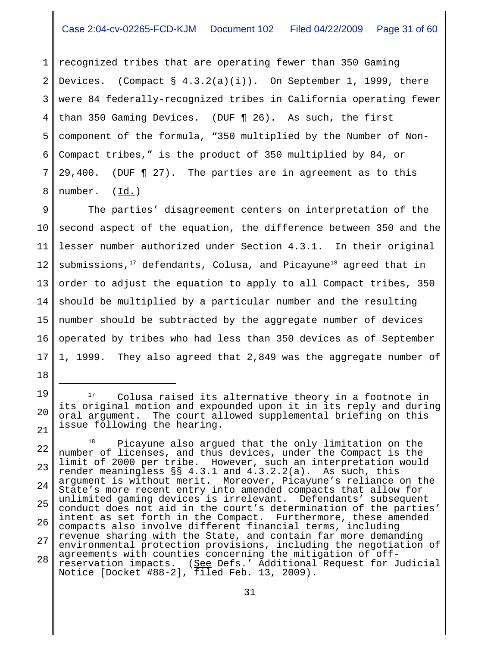1 2 3 4 5 6 7 8 recognized tribes that are operating fewer than 350 Gaming Devices. (Compact  $\S$  4.3.2(a)(i)). On September 1, 1999, there were 84 federally-recognized tribes in California operating fewer than 350 Gaming Devices. (DUF ¶ 26). As such, the first component of the formula, "350 multiplied by the Number of Non-Compact tribes," is the product of 350 multiplied by 84, or 29,400. (DUF ¶ 27). The parties are in agreement as to this number.  $(\underline{Id.})$ 

9 10 11 12 13 14 15 16 17 The parties' disagreement centers on interpretation of the second aspect of the equation, the difference between 350 and the lesser number authorized under Section 4.3.1. In their original submissions, $17$  defendants, Colusa, and Picayune<sup>18</sup> agreed that in order to adjust the equation to apply to all Compact tribes, 350 should be multiplied by a particular number and the resulting number should be subtracted by the aggregate number of devices operated by tribes who had less than 350 devices as of September 1, 1999. They also agreed that 2,849 was the aggregate number of

18

19

20

Colusa raised its alternative theory in a footnote in its original motion and expounded upon it in its reply and during oral argument. The court allowed supplemental briefing on this issue following the hearing.

<sup>22</sup> 23 24 25 26 27 28 <sup>18</sup> Picayune also argued that the only limitation on the number of licenses, and thus devices, under the Compact is the limit of 2000 per tribe. However, such an interpretation would render meaningless §§ 4.3.1 and 4.3.2.2(a). As such, this argument is without merit. Moreover, Picayune's reliance on the State's more recent entry into amended compacts that allow for unlimited gaming devices is irrelevant. Defendants' subsequent conduct does not aid in the court's determination of the parties' intent as set forth in the Compact. Furthermore, these amended compacts also involve different financial terms, including revenue sharing with the State, and contain far more demanding environmental protection provisions, including the negotiation of agreements with counties concerning the mitigation of offreservation impacts. (<u>See</u> Defs.' Additional Request for Judicial Notice [Docket #88-2], filed Feb. 13, 2009).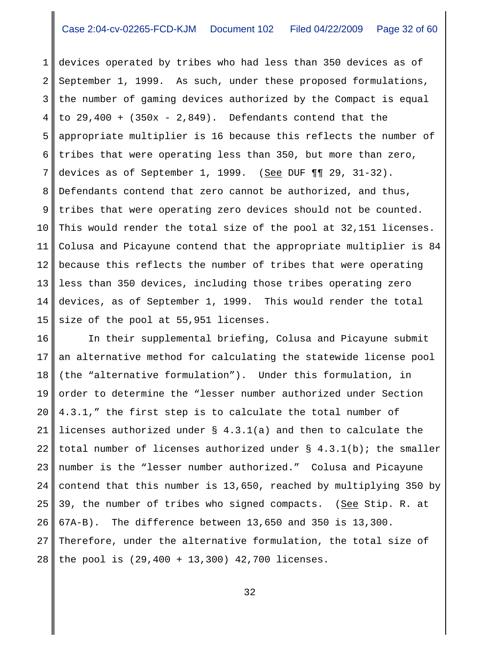1 2 3 4 5 6 7 8 9 10 11 12 13 14 15 devices operated by tribes who had less than 350 devices as of September 1, 1999. As such, under these proposed formulations, the number of gaming devices authorized by the Compact is equal to  $29,400 + (350x - 2,849)$ . Defendants contend that the appropriate multiplier is 16 because this reflects the number of tribes that were operating less than 350, but more than zero, devices as of September 1, 1999. (See DUF  $\P\P$  29, 31-32). Defendants contend that zero cannot be authorized, and thus, tribes that were operating zero devices should not be counted. This would render the total size of the pool at 32,151 licenses. Colusa and Picayune contend that the appropriate multiplier is 84 because this reflects the number of tribes that were operating less than 350 devices, including those tribes operating zero devices, as of September 1, 1999. This would render the total size of the pool at 55,951 licenses.

16 17 18 19 20 21 22 23 24 25 26 27 28 In their supplemental briefing, Colusa and Picayune submit an alternative method for calculating the statewide license pool (the "alternative formulation"). Under this formulation, in order to determine the "lesser number authorized under Section 4.3.1," the first step is to calculate the total number of licenses authorized under § 4.3.1(a) and then to calculate the total number of licenses authorized under  $\S$  4.3.1(b); the smaller number is the "lesser number authorized." Colusa and Picayune contend that this number is 13,650, reached by multiplying 350 by 39, the number of tribes who signed compacts. (See Stip. R. at 67A-B). The difference between 13,650 and 350 is 13,300. Therefore, under the alternative formulation, the total size of the pool is (29,400 + 13,300) 42,700 licenses.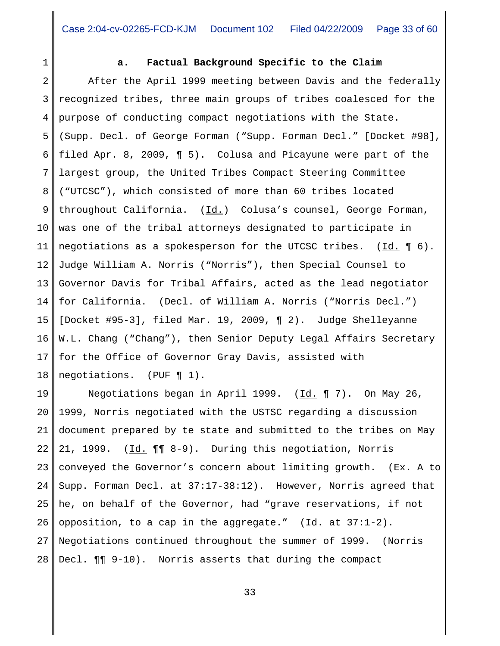1

## **a. Factual Background Specific to the Claim**

2 3 4 5 6 7 8 9 10 11 12 13 14 15 16 17 18 After the April 1999 meeting between Davis and the federally recognized tribes, three main groups of tribes coalesced for the purpose of conducting compact negotiations with the State. (Supp. Decl. of George Forman ("Supp. Forman Decl." [Docket #98], filed Apr. 8, 2009, ¶ 5). Colusa and Picayune were part of the largest group, the United Tribes Compact Steering Committee ("UTCSC"), which consisted of more than 60 tribes located throughout California.  $(\underline{Id.})$  Colusa's counsel, George Forman, was one of the tribal attorneys designated to participate in negotiations as a spokesperson for the UTCSC tribes.  $(\underline{Id.} \P 6)$ . Judge William A. Norris ("Norris"), then Special Counsel to Governor Davis for Tribal Affairs, acted as the lead negotiator for California. (Decl. of William A. Norris ("Norris Decl.") [Docket #95-3], filed Mar. 19, 2009, ¶ 2). Judge Shelleyanne W.L. Chang ("Chang"), then Senior Deputy Legal Affairs Secretary for the Office of Governor Gray Davis, assisted with negotiations. (PUF ¶ 1).

19 20 21 22 23 24 25 26 27 28 Negotiations began in April 1999. (Id. ¶ 7). On May 26, 1999, Norris negotiated with the USTSC regarding a discussion document prepared by te state and submitted to the tribes on May 21, 1999. (Id. ¶¶ 8-9). During this negotiation, Norris conveyed the Governor's concern about limiting growth. (Ex. A to Supp. Forman Decl. at 37:17-38:12). However, Norris agreed that he, on behalf of the Governor, had "grave reservations, if not opposition, to a cap in the aggregate."  $(\underline{Id.}$  at 37:1-2). Negotiations continued throughout the summer of 1999. (Norris Decl. ¶¶ 9-10). Norris asserts that during the compact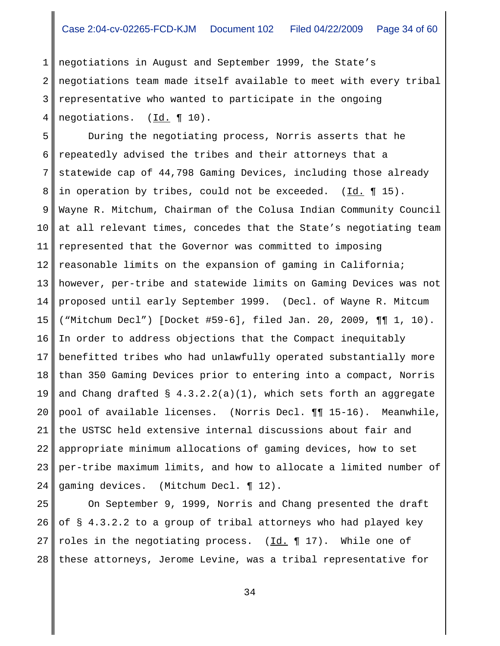1 2 3 4 negotiations in August and September 1999, the State's negotiations team made itself available to meet with every tribal representative who wanted to participate in the ongoing negotiations. (Id. ¶ 10).

5 6 7 8 9 10 11 12 13 14 15 16 17 18 19 20 21 22 23 24 During the negotiating process, Norris asserts that he repeatedly advised the tribes and their attorneys that a statewide cap of 44,798 Gaming Devices, including those already in operation by tribes, could not be exceeded.  $(\underline{Id.} \P 15)$ . Wayne R. Mitchum, Chairman of the Colusa Indian Community Council at all relevant times, concedes that the State's negotiating team represented that the Governor was committed to imposing reasonable limits on the expansion of gaming in California; however, per-tribe and statewide limits on Gaming Devices was not proposed until early September 1999. (Decl. of Wayne R. Mitcum ("Mitchum Decl") [Docket #59-6], filed Jan. 20, 2009, ¶¶ 1, 10). In order to address objections that the Compact inequitably benefitted tribes who had unlawfully operated substantially more than 350 Gaming Devices prior to entering into a compact, Norris and Chang drafted  $\S$  4.3.2.2(a)(1), which sets forth an aggregate pool of available licenses. (Norris Decl. ¶¶ 15-16). Meanwhile, the USTSC held extensive internal discussions about fair and appropriate minimum allocations of gaming devices, how to set per-tribe maximum limits, and how to allocate a limited number of gaming devices. (Mitchum Decl. ¶ 12).

25 26 27 28 On September 9, 1999, Norris and Chang presented the draft of § 4.3.2.2 to a group of tribal attorneys who had played key roles in the negotiating process. (Id. ¶ 17). While one of these attorneys, Jerome Levine, was a tribal representative for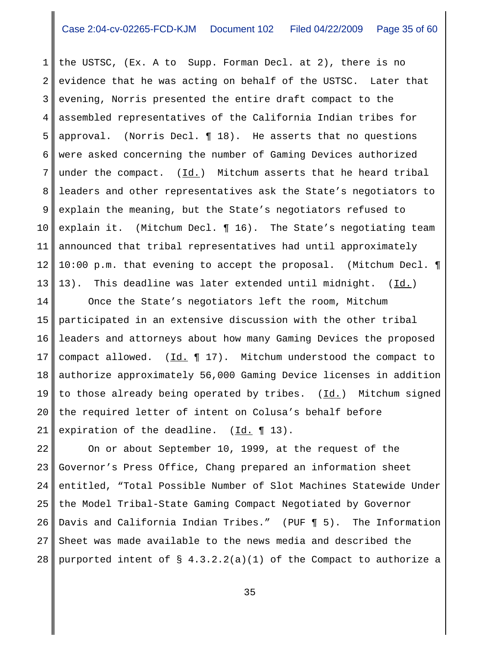1 2 3 4 5 6 7 8 9 10 11 12 13 the USTSC, (Ex. A to Supp. Forman Decl. at 2), there is no evidence that he was acting on behalf of the USTSC. Later that evening, Norris presented the entire draft compact to the assembled representatives of the California Indian tribes for approval. (Norris Decl. ¶ 18). He asserts that no questions were asked concerning the number of Gaming Devices authorized under the compact.  $(\underline{Id.})$  Mitchum asserts that he heard tribal leaders and other representatives ask the State's negotiators to explain the meaning, but the State's negotiators refused to explain it. (Mitchum Decl. ¶ 16). The State's negotiating team announced that tribal representatives had until approximately 10:00 p.m. that evening to accept the proposal. (Mitchum Decl. ¶ 13). This deadline was later extended until midnight. (Id.)

14 15 16 17 18 19 20 21 Once the State's negotiators left the room, Mitchum participated in an extensive discussion with the other tribal leaders and attorneys about how many Gaming Devices the proposed compact allowed.  $(\underline{Id.} \P 17)$ . Mitchum understood the compact to authorize approximately 56,000 Gaming Device licenses in addition to those already being operated by tribes.  $(Id.)$  Mitchum signed the required letter of intent on Colusa's behalf before expiration of the deadline.  $(\underline{Id.} \P 13)$ .

22 23 24 25 26 27 28 On or about September 10, 1999, at the request of the Governor's Press Office, Chang prepared an information sheet entitled, "Total Possible Number of Slot Machines Statewide Under the Model Tribal-State Gaming Compact Negotiated by Governor Davis and California Indian Tribes." (PUF ¶ 5). The Information Sheet was made available to the news media and described the purported intent of  $\S$  4.3.2.2(a)(1) of the Compact to authorize a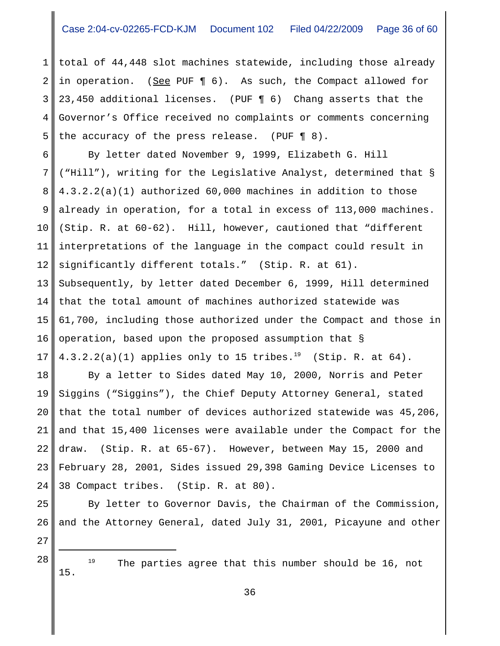1 2 3 4 5 total of 44,448 slot machines statewide, including those already in operation. (See PUF ¶ 6). As such, the Compact allowed for 23,450 additional licenses. (PUF ¶ 6) Chang asserts that the Governor's Office received no complaints or comments concerning the accuracy of the press release. (PUF ¶ 8).

6 7 8 9 10 11 12 13 14 15 16 17 By letter dated November 9, 1999, Elizabeth G. Hill ("Hill"), writing for the Legislative Analyst, determined that § 4.3.2.2(a)(1) authorized 60,000 machines in addition to those already in operation, for a total in excess of 113,000 machines. (Stip. R. at 60-62). Hill, however, cautioned that "different interpretations of the language in the compact could result in significantly different totals." (Stip. R. at 61). Subsequently, by letter dated December 6, 1999, Hill determined that the total amount of machines authorized statewide was 61,700, including those authorized under the Compact and those in operation, based upon the proposed assumption that §  $4.3.2.2(a)(1)$  applies only to 15 tribes.<sup>19</sup> (Stip. R. at 64).

18 19 20 21 22 23 24 By a letter to Sides dated May 10, 2000, Norris and Peter Siggins ("Siggins"), the Chief Deputy Attorney General, stated that the total number of devices authorized statewide was 45,206, and that 15,400 licenses were available under the Compact for the draw. (Stip. R. at 65-67). However, between May 15, 2000 and February 28, 2001, Sides issued 29,398 Gaming Device Licenses to 38 Compact tribes. (Stip. R. at 80).

By letter to Governor Davis, the Chairman of the Commission, and the Attorney General, dated July 31, 2001, Picayune and other

27

15.

25

26

 $28$   $19$  The parties agree that this number should be 16, not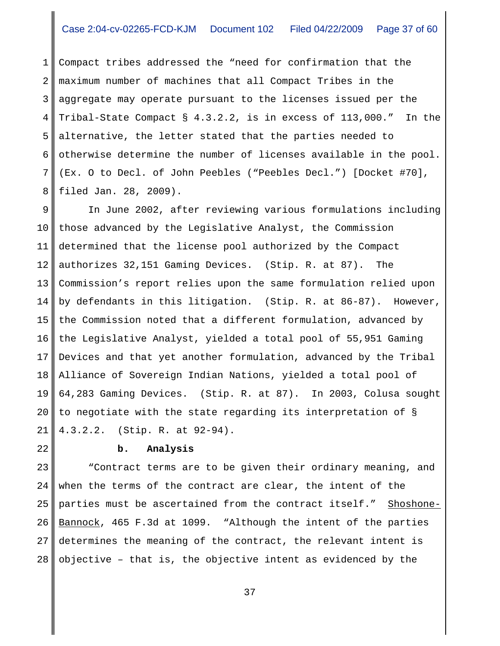1 2 3 4 5 6 7 8 Compact tribes addressed the "need for confirmation that the maximum number of machines that all Compact Tribes in the aggregate may operate pursuant to the licenses issued per the Tribal-State Compact § 4.3.2.2, is in excess of 113,000." In the alternative, the letter stated that the parties needed to otherwise determine the number of licenses available in the pool. (Ex. O to Decl. of John Peebles ("Peebles Decl.") [Docket #70], filed Jan. 28, 2009).

9 10 11 12 13 14 15 16 17 18 19 20 21 In June 2002, after reviewing various formulations including those advanced by the Legislative Analyst, the Commission determined that the license pool authorized by the Compact authorizes 32,151 Gaming Devices. (Stip. R. at 87). The Commission's report relies upon the same formulation relied upon by defendants in this litigation. (Stip. R. at 86-87). However, the Commission noted that a different formulation, advanced by the Legislative Analyst, yielded a total pool of 55,951 Gaming Devices and that yet another formulation, advanced by the Tribal Alliance of Sovereign Indian Nations, yielded a total pool of 64,283 Gaming Devices. (Stip. R. at 87). In 2003, Colusa sought to negotiate with the state regarding its interpretation of § 4.3.2.2. (Stip. R. at 92-94).

22

## **b. Analysis**

23 24 25 26 27 28 "Contract terms are to be given their ordinary meaning, and when the terms of the contract are clear, the intent of the parties must be ascertained from the contract itself." Shoshone-Bannock, 465 F.3d at 1099. "Although the intent of the parties determines the meaning of the contract, the relevant intent is objective – that is, the objective intent as evidenced by the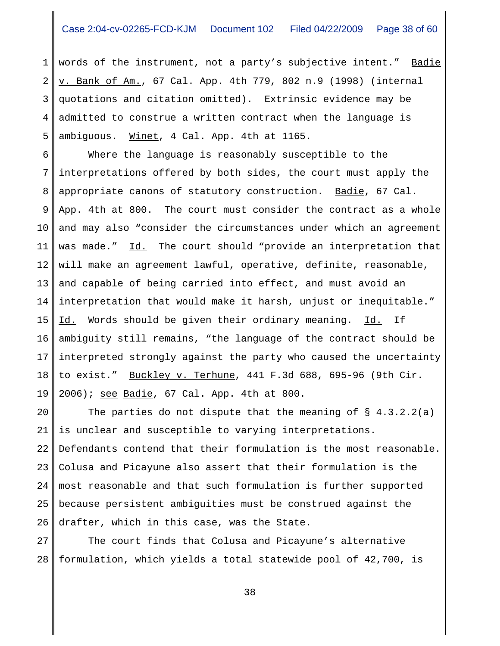1 2 3 4 5 words of the instrument, not a party's subjective intent." Badie v. Bank of Am., 67 Cal. App. 4th 779, 802 n.9 (1998) (internal quotations and citation omitted). Extrinsic evidence may be admitted to construe a written contract when the language is ambiguous. Winet, 4 Cal. App. 4th at 1165.

6 7 8 9 10 11 12 13 14 15 16 17 18 19 Where the language is reasonably susceptible to the interpretations offered by both sides, the court must apply the appropriate canons of statutory construction. Badie, 67 Cal. App. 4th at 800. The court must consider the contract as a whole and may also "consider the circumstances under which an agreement was made." Id. The court should "provide an interpretation that will make an agreement lawful, operative, definite, reasonable, and capable of being carried into effect, and must avoid an interpretation that would make it harsh, unjust or inequitable." Id. Words should be given their ordinary meaning. Id. If ambiguity still remains, "the language of the contract should be interpreted strongly against the party who caused the uncertainty to exist." Buckley v. Terhune, 441 F.3d 688, 695-96 (9th Cir. 2006); see Badie, 67 Cal. App. 4th at 800.

20 21 22 23 24 25 26 The parties do not dispute that the meaning of  $\S$  4.3.2.2(a) is unclear and susceptible to varying interpretations. Defendants contend that their formulation is the most reasonable. Colusa and Picayune also assert that their formulation is the most reasonable and that such formulation is further supported because persistent ambiguities must be construed against the drafter, which in this case, was the State.

27 28 The court finds that Colusa and Picayune's alternative formulation, which yields a total statewide pool of 42,700, is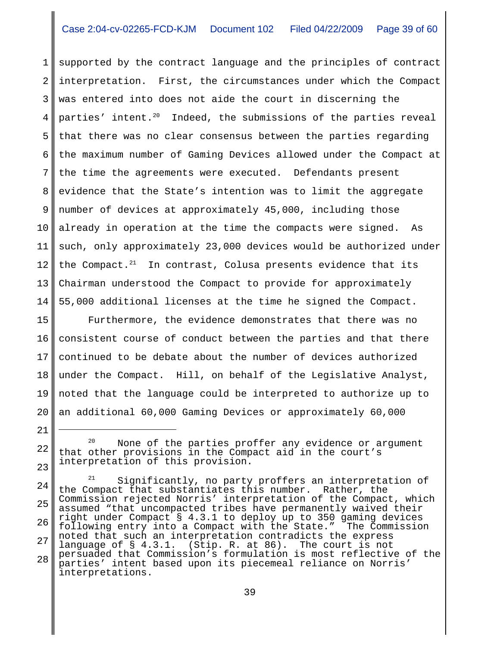1 2 3 4 5 6 7 8 9 10 11 12 13 14 supported by the contract language and the principles of contract interpretation. First, the circumstances under which the Compact was entered into does not aide the court in discerning the parties' intent.<sup>20</sup> Indeed, the submissions of the parties reveal that there was no clear consensus between the parties regarding the maximum number of Gaming Devices allowed under the Compact at the time the agreements were executed. Defendants present evidence that the State's intention was to limit the aggregate number of devices at approximately 45,000, including those already in operation at the time the compacts were signed. As such, only approximately 23,000 devices would be authorized under the Compact. $21$  In contrast, Colusa presents evidence that its Chairman understood the Compact to provide for approximately 55,000 additional licenses at the time he signed the Compact.

15 16 17 18 19 20 Furthermore, the evidence demonstrates that there was no consistent course of conduct between the parties and that there continued to be debate about the number of devices authorized under the Compact. Hill, on behalf of the Legislative Analyst, noted that the language could be interpreted to authorize up to an additional 60,000 Gaming Devices or approximately 60,000

<sup>22</sup> 23 <sup>20</sup> None of the parties proffer any evidence or argument that other provisions in the Compact aid in the court's interpretation of this provision.

<sup>24</sup> 25 26 27 28 <sup>21</sup> Significantly, no party proffers an interpretation of the Compact that substantiates this number. Rather, the Commission rejected Norris' interpretation of the Compact, which assumed "that uncompacted tribes have permanently waived their right under Compact § 4.3.1 to deploy up to 350 gaming devices following entry into a Compact with the State." The Commission noted that such an interpretation contradicts the express language of § 4.3.1. (Stip. R. at 86). The court is not persuaded that Commission's formulation is most reflective of the parties' intent based upon its piecemeal reliance on Norris' interpretations.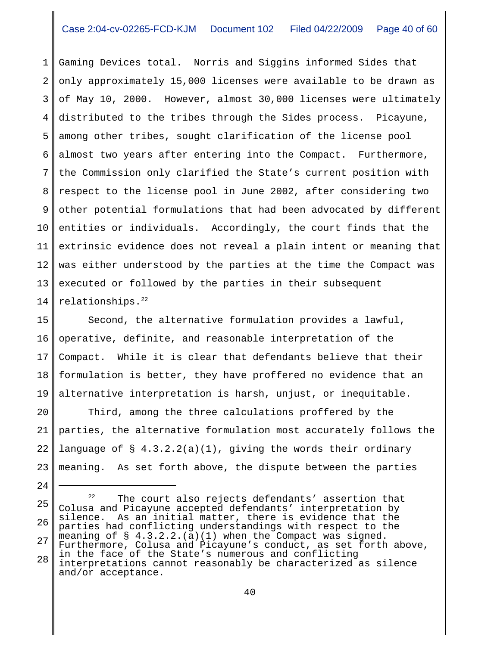1 2 3 4 5 6 7 8 9 10 11 12 13 14 Gaming Devices total. Norris and Siggins informed Sides that only approximately 15,000 licenses were available to be drawn as of May 10, 2000. However, almost 30,000 licenses were ultimately distributed to the tribes through the Sides process. Picayune, among other tribes, sought clarification of the license pool almost two years after entering into the Compact. Furthermore, the Commission only clarified the State's current position with respect to the license pool in June 2002, after considering two other potential formulations that had been advocated by different entities or individuals. Accordingly, the court finds that the extrinsic evidence does not reveal a plain intent or meaning that was either understood by the parties at the time the Compact was executed or followed by the parties in their subsequent relationships. $22$ 

15 16 17 18 19 Second, the alternative formulation provides a lawful, operative, definite, and reasonable interpretation of the Compact. While it is clear that defendants believe that their formulation is better, they have proffered no evidence that an alternative interpretation is harsh, unjust, or inequitable.

20 21 22 23 Third, among the three calculations proffered by the parties, the alternative formulation most accurately follows the language of  $\S$  4.3.2.2(a)(1), giving the words their ordinary meaning. As set forth above, the dispute between the parties

25 26 27 28  $22$  The court also rejects defendants' assertion that Colusa and Picayune accepted defendants' interpretation by silence. As an initial matter, there is evidence that the parties had conflicting understandings with respect to the meaning of  $\S$  4.3.2.2.(a)(1) when the Compact was signed. Furthermore, Colusa and Picayune's conduct, as set forth above, in the face of the State's numerous and conflicting interpretations cannot reasonably be characterized as silence and/or acceptance.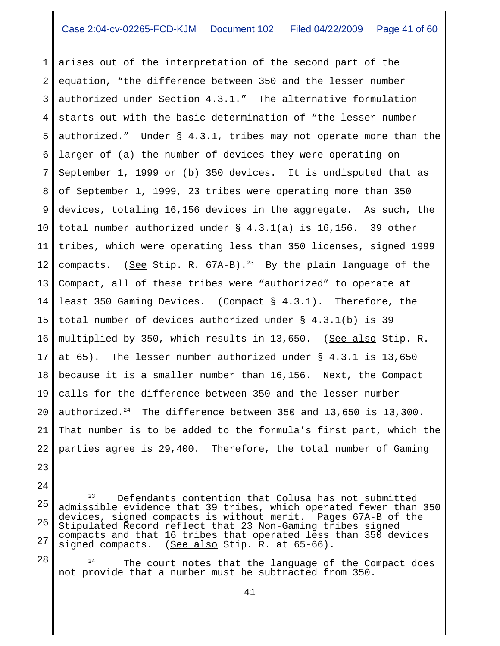1 2 3 4 5 6 7 8 9 10 11 12 13 14 15 16 17 18 19 20 21 22 arises out of the interpretation of the second part of the equation, "the difference between 350 and the lesser number authorized under Section 4.3.1." The alternative formulation starts out with the basic determination of "the lesser number authorized." Under § 4.3.1, tribes may not operate more than the larger of (a) the number of devices they were operating on September 1, 1999 or (b) 350 devices. It is undisputed that as of September 1, 1999, 23 tribes were operating more than 350 devices, totaling 16,156 devices in the aggregate. As such, the total number authorized under § 4.3.1(a) is 16,156. 39 other tribes, which were operating less than 350 licenses, signed 1999 compacts. (See Stip. R.  $67A-B$ ).<sup>23</sup> By the plain language of the Compact, all of these tribes were "authorized" to operate at least 350 Gaming Devices. (Compact § 4.3.1). Therefore, the total number of devices authorized under § 4.3.1(b) is 39 multiplied by 350, which results in 13,650. (See also Stip. R. at 65). The lesser number authorized under § 4.3.1 is 13,650 because it is a smaller number than 16,156. Next, the Compact calls for the difference between 350 and the lesser number authorized. $24$  The difference between 350 and 13,650 is 13,300. That number is to be added to the formula's first part, which the parties agree is 29,400. Therefore, the total number of Gaming

25 26 27 <sup>23</sup> Defendants contention that Colusa has not submitted admissible evidence that 39 tribes, which operated fewer than 350 devices, signed compacts is without merit. Pages 67A-B of the Stipulated Record reflect that 23 Non-Gaming tribes signed compacts and that 16 tribes that operated less than 350 devices signed compacts. (See also Stip. R. at 65-66).

23

24

28  $24$  The court notes that the language of the Compact does not provide that a number must be subtracted from 350.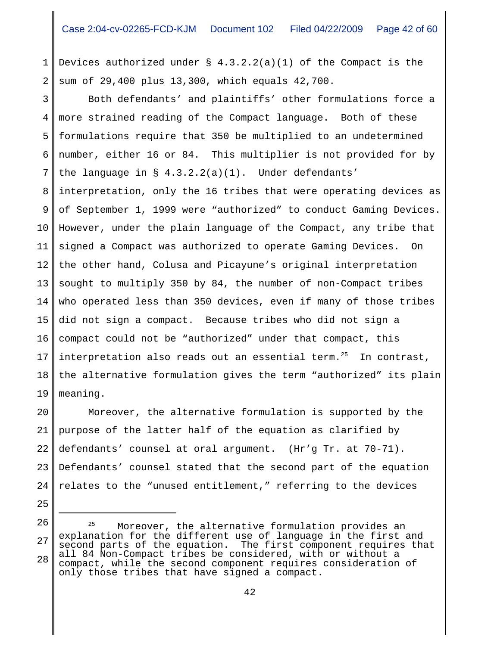1 2 Devices authorized under  $\S$  4.3.2.2(a)(1) of the Compact is the sum of 29,400 plus 13,300, which equals 42,700.

3 4 5 6 7 8 9 10 11 12 13 14 15 16 17 Both defendants' and plaintiffs' other formulations force a more strained reading of the Compact language. Both of these formulations require that 350 be multiplied to an undetermined number, either 16 or 84. This multiplier is not provided for by the language in  $\S$  4.3.2.2(a)(1). Under defendants' interpretation, only the 16 tribes that were operating devices as of September 1, 1999 were "authorized" to conduct Gaming Devices. However, under the plain language of the Compact, any tribe that signed a Compact was authorized to operate Gaming Devices. On the other hand, Colusa and Picayune's original interpretation sought to multiply 350 by 84, the number of non-Compact tribes who operated less than 350 devices, even if many of those tribes did not sign a compact. Because tribes who did not sign a compact could not be "authorized" under that compact, this interpretation also reads out an essential term. $25$  In contrast,

18 19 the alternative formulation gives the term "authorized" its plain meaning.

20 21 22 23 24 Moreover, the alternative formulation is supported by the purpose of the latter half of the equation as clarified by defendants' counsel at oral argument. (Hr'g Tr. at 70-71). Defendants' counsel stated that the second part of the equation relates to the "unused entitlement," referring to the devices

- 25
- 26

<sup>28</sup> <sup>25</sup> Moreover, the alternative formulation provides an explanation for the different use of language in the first and second parts of the equation. The first component requires that all 84 Non-Compact tribes be considered, with or without a compact, while the second component requires consideration of only those tribes that have signed a compact.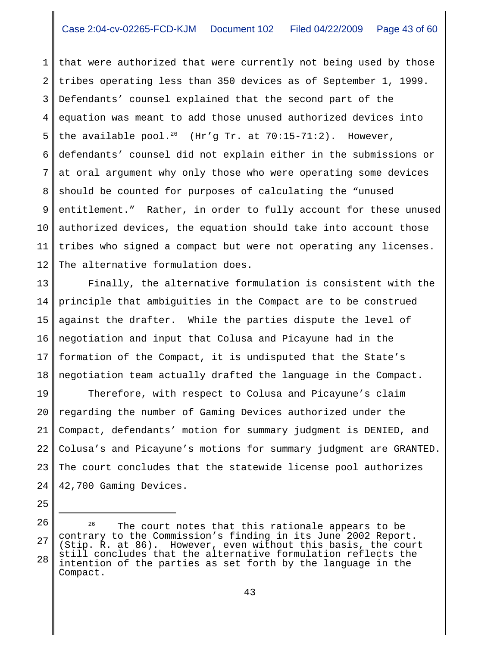1 2 3 4 5 6 7 8 9 10 11 12 that were authorized that were currently not being used by those tribes operating less than 350 devices as of September 1, 1999. Defendants' counsel explained that the second part of the equation was meant to add those unused authorized devices into the available pool.<sup>26</sup> (Hr'g Tr. at 70:15-71:2). However, defendants' counsel did not explain either in the submissions or at oral argument why only those who were operating some devices should be counted for purposes of calculating the "unused entitlement." Rather, in order to fully account for these unused authorized devices, the equation should take into account those tribes who signed a compact but were not operating any licenses. The alternative formulation does.

13 14 15 16 17 18 Finally, the alternative formulation is consistent with the principle that ambiguities in the Compact are to be construed against the drafter. While the parties dispute the level of negotiation and input that Colusa and Picayune had in the formation of the Compact, it is undisputed that the State's negotiation team actually drafted the language in the Compact.

19 20 21 22 23 24 Therefore, with respect to Colusa and Picayune's claim regarding the number of Gaming Devices authorized under the Compact, defendants' motion for summary judgment is DENIED, and Colusa's and Picayune's motions for summary judgment are GRANTED. The court concludes that the statewide license pool authorizes 42,700 Gaming Devices.

- 25
- 26

<sup>27</sup> 28  $26$  The court notes that this rationale appears to be contrary to the Commission's finding in its June 2002 Report. (Stip. R. at 86). However, even without this basis, the court still concludes that the alternative formulation reflects the intention of the parties as set forth by the language in the Compact.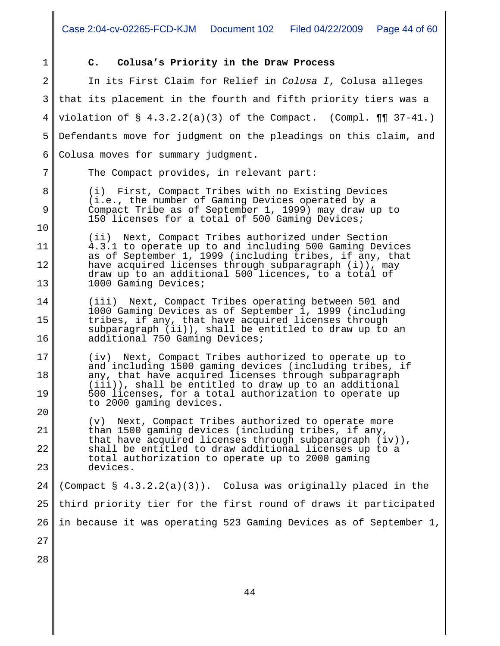1

7

8

9

10

11

13

20

## **C. Colusa's Priority in the Draw Process**

2 3 4 5 6 In its First Claim for Relief in *Colusa I*, Colusa alleges that its placement in the fourth and fifth priority tiers was a violation of  $\S$  4.3.2.2(a)(3) of the Compact. (Compl.  $\P\P$  37-41.) Defendants move for judgment on the pleadings on this claim, and Colusa moves for summary judgment.

The Compact provides, in relevant part:

(i) First, Compact Tribes with no Existing Devices (i.e., the number of Gaming Devices operated by a Compact Tribe as of September 1, 1999) may draw up to 150 licenses for a total of 500 Gaming Devices;

12 (ii) Next, Compact Tribes authorized under Section 4.3.1 to operate up to and including 500 Gaming Devices as of September 1, 1999 (including tribes, if any, that have acquired licenses through subparagraph (i)), may draw up to an additional 500 licences, to a total of 1000 Gaming Devices;

14 15 16 (iii) Next, Compact Tribes operating between 501 and 1000 Gaming Devices as of September 1, 1999 (including tribes, if any, that have acquired licenses through subparagraph (ii)), shall be entitled to draw up to an additional 750 Gaming Devices;

17 18 19 (iv) Next, Compact Tribes authorized to operate up to and including 1500 gaming devices (including tribes, if any, that have acquired licenses through subparagraph (iii)), shall be entitled to draw up to an additional 500 licenses, for a total authorization to operate up to 2000 gaming devices.

21 22 23 (v) Next, Compact Tribes authorized to operate more than 1500 gaming devices (including tribes, if any, that have acquired licenses through subparagraph (iv)), shall be entitled to draw additional licenses up to a total authorization to operate up to 2000 gaming devices.

24 25 26 (Compact  $\S$  4.3.2.2(a)(3)). Colusa was originally placed in the third priority tier for the first round of draws it participated in because it was operating 523 Gaming Devices as of September 1,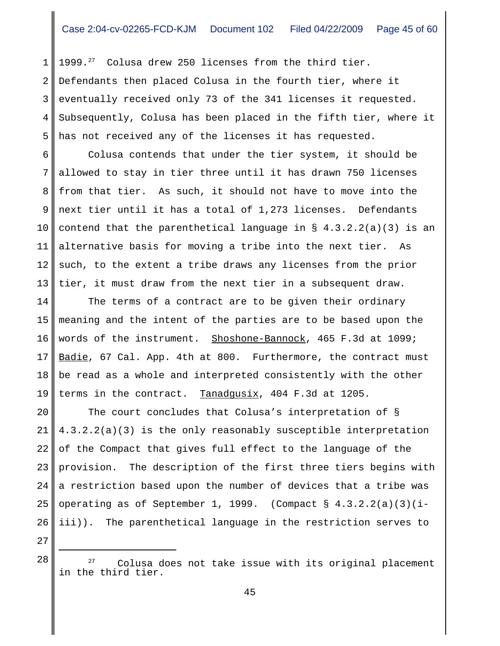1 2 3 4 5 1999. $^{27}$  Colusa drew 250 licenses from the third tier. Defendants then placed Colusa in the fourth tier, where it eventually received only 73 of the 341 licenses it requested. Subsequently, Colusa has been placed in the fifth tier, where it has not received any of the licenses it has requested.

6 7 8 9 10 11 12 13 Colusa contends that under the tier system, it should be allowed to stay in tier three until it has drawn 750 licenses from that tier. As such, it should not have to move into the next tier until it has a total of 1,273 licenses. Defendants contend that the parenthetical language in § 4.3.2.2(a)(3) is an alternative basis for moving a tribe into the next tier. As such, to the extent a tribe draws any licenses from the prior tier, it must draw from the next tier in a subsequent draw.

14 15 16 17 18 19 The terms of a contract are to be given their ordinary meaning and the intent of the parties are to be based upon the words of the instrument. Shoshone-Bannock, 465 F.3d at 1099; Badie, 67 Cal. App. 4th at 800. Furthermore, the contract must be read as a whole and interpreted consistently with the other terms in the contract. Tanadqusix, 404 F.3d at 1205.

20 21 22 23 24 25 26 The court concludes that Colusa's interpretation of § 4.3.2.2(a)(3) is the only reasonably susceptible interpretation of the Compact that gives full effect to the language of the provision. The description of the first three tiers begins with a restriction based upon the number of devices that a tribe was operating as of September 1, 1999. (Compact §  $4.3.2.2(a)(3)(i$ iii)). The parenthetical language in the restriction serves to

 $28$   $28$   $27$  Colusa does not take issue with its original placement in the third tier.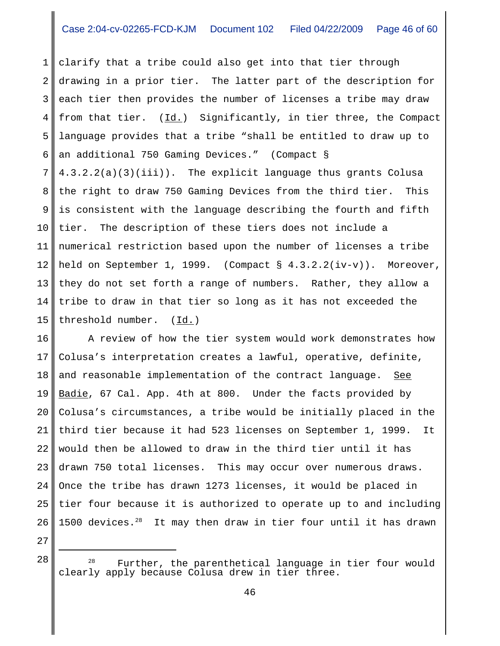1 2 3 4 5 6 7 8 9 10 11 12 13 14 15 clarify that a tribe could also get into that tier through drawing in a prior tier. The latter part of the description for each tier then provides the number of licenses a tribe may draw from that tier. (Id.) Significantly, in tier three, the Compact language provides that a tribe "shall be entitled to draw up to an additional 750 Gaming Devices." (Compact § 4.3.2.2(a)(3)(iii)). The explicit language thus grants Colusa the right to draw 750 Gaming Devices from the third tier. This is consistent with the language describing the fourth and fifth tier. The description of these tiers does not include a numerical restriction based upon the number of licenses a tribe held on September 1, 1999. (Compact § 4.3.2.2(iv-v)). Moreover, they do not set forth a range of numbers. Rather, they allow a tribe to draw in that tier so long as it has not exceeded the threshold number. (Id.)

16 17 18 19 20 21 22 23 24 25 26 A review of how the tier system would work demonstrates how Colusa's interpretation creates a lawful, operative, definite, and reasonable implementation of the contract language. See Badie, 67 Cal. App. 4th at 800. Under the facts provided by Colusa's circumstances, a tribe would be initially placed in the third tier because it had 523 licenses on September 1, 1999. It would then be allowed to draw in the third tier until it has drawn 750 total licenses. This may occur over numerous draws. Once the tribe has drawn 1273 licenses, it would be placed in tier four because it is authorized to operate up to and including 1500 devices. $28$  It may then draw in tier four until it has drawn

 $28$   $28$  Further, the parenthetical language in tier four would clearly apply because Colusa drew in tier three.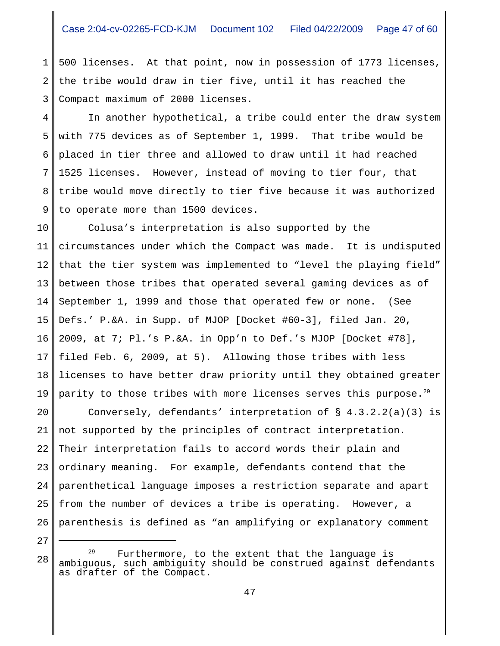1 2 3 500 licenses. At that point, now in possession of 1773 licenses, the tribe would draw in tier five, until it has reached the Compact maximum of 2000 licenses.

4 5 6 7 8 9 In another hypothetical, a tribe could enter the draw system with 775 devices as of September 1, 1999. That tribe would be placed in tier three and allowed to draw until it had reached 1525 licenses. However, instead of moving to tier four, that tribe would move directly to tier five because it was authorized to operate more than 1500 devices.

10 11 12 13 14 15 16 17 18 19 Colusa's interpretation is also supported by the circumstances under which the Compact was made. It is undisputed that the tier system was implemented to "level the playing field" between those tribes that operated several gaming devices as of September 1, 1999 and those that operated few or none. (See Defs.' P.&A. in Supp. of MJOP [Docket #60-3], filed Jan. 20, 2009, at 7; Pl.'s P.&A. in Opp'n to Def.'s MJOP [Docket #78], filed Feb. 6, 2009, at 5). Allowing those tribes with less licenses to have better draw priority until they obtained greater parity to those tribes with more licenses serves this purpose.<sup>29</sup>

20 21 22 23 24 25 26 Conversely, defendants' interpretation of § 4.3.2.2(a)(3) is not supported by the principles of contract interpretation. Their interpretation fails to accord words their plain and ordinary meaning. For example, defendants contend that the parenthetical language imposes a restriction separate and apart from the number of devices a tribe is operating. However, a parenthesis is defined as "an amplifying or explanatory comment

Furthermore, to the extent that the language is ambiguous, such ambiguity should be construed against defendants as drafter of the Compact.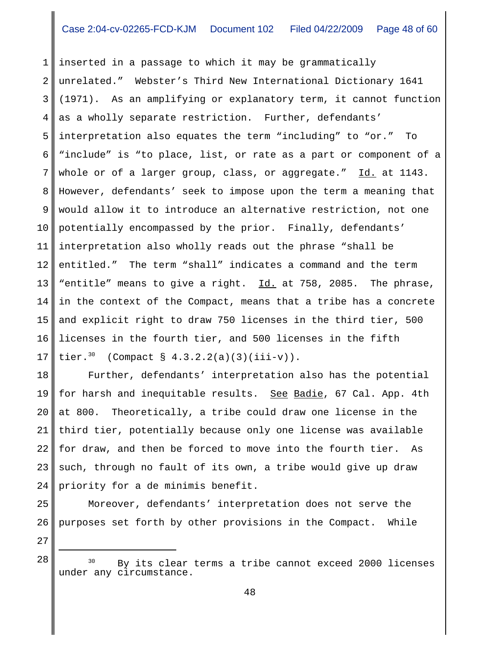1 2 3 4 5 6 7 8 9 10 11 12 13 14 15 16 17 inserted in a passage to which it may be grammatically unrelated." Webster's Third New International Dictionary 1641 (1971). As an amplifying or explanatory term, it cannot function as a wholly separate restriction. Further, defendants' interpretation also equates the term "including" to "or." To "include" is "to place, list, or rate as a part or component of a whole or of a larger group, class, or aggregate." Id. at 1143. However, defendants' seek to impose upon the term a meaning that would allow it to introduce an alternative restriction, not one potentially encompassed by the prior. Finally, defendants' interpretation also wholly reads out the phrase "shall be entitled." The term "shall" indicates a command and the term "entitle" means to give a right. Id. at 758, 2085. The phrase, in the context of the Compact, means that a tribe has a concrete and explicit right to draw 750 licenses in the third tier, 500 licenses in the fourth tier, and 500 licenses in the fifth tier.<sup>30</sup> (Compact §  $4.3.2.2(a)(3)(iii-v)$ ).

18 19 20 21 22 23 24 Further, defendants' interpretation also has the potential for harsh and inequitable results. See Badie, 67 Cal. App. 4th at 800. Theoretically, a tribe could draw one license in the third tier, potentially because only one license was available for draw, and then be forced to move into the fourth tier. As such, through no fault of its own, a tribe would give up draw priority for a de minimis benefit.

Moreover, defendants' interpretation does not serve the purposes set forth by other provisions in the Compact. While

27

25

 $28$   $30$  By its clear terms a tribe cannot exceed 2000 licenses under any circumstance.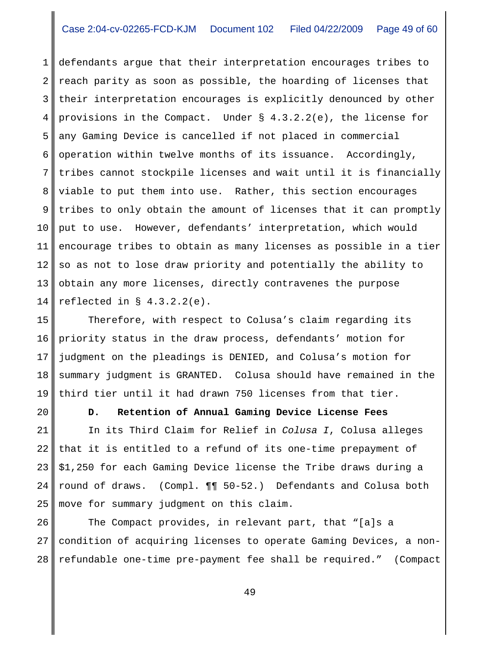1 2 3 4 5 6 7 8 9 10 11 12 13 14 defendants argue that their interpretation encourages tribes to reach parity as soon as possible, the hoarding of licenses that their interpretation encourages is explicitly denounced by other provisions in the Compact. Under § 4.3.2.2(e), the license for any Gaming Device is cancelled if not placed in commercial operation within twelve months of its issuance. Accordingly, tribes cannot stockpile licenses and wait until it is financially viable to put them into use. Rather, this section encourages tribes to only obtain the amount of licenses that it can promptly put to use. However, defendants' interpretation, which would encourage tribes to obtain as many licenses as possible in a tier so as not to lose draw priority and potentially the ability to obtain any more licenses, directly contravenes the purpose reflected in  $\S$  4.3.2.2(e).

15 16 17 18 19 Therefore, with respect to Colusa's claim regarding its priority status in the draw process, defendants' motion for judgment on the pleadings is DENIED, and Colusa's motion for summary judgment is GRANTED. Colusa should have remained in the third tier until it had drawn 750 licenses from that tier.

20

**D. Retention of Annual Gaming Device License Fees**

21 22 23 24 25 In its Third Claim for Relief in *Colusa I*, Colusa alleges that it is entitled to a refund of its one-time prepayment of \$1,250 for each Gaming Device license the Tribe draws during a round of draws. (Compl. ¶¶ 50-52.) Defendants and Colusa both move for summary judgment on this claim.

26 27 28 The Compact provides, in relevant part, that "[a]s a condition of acquiring licenses to operate Gaming Devices, a nonrefundable one-time pre-payment fee shall be required." (Compact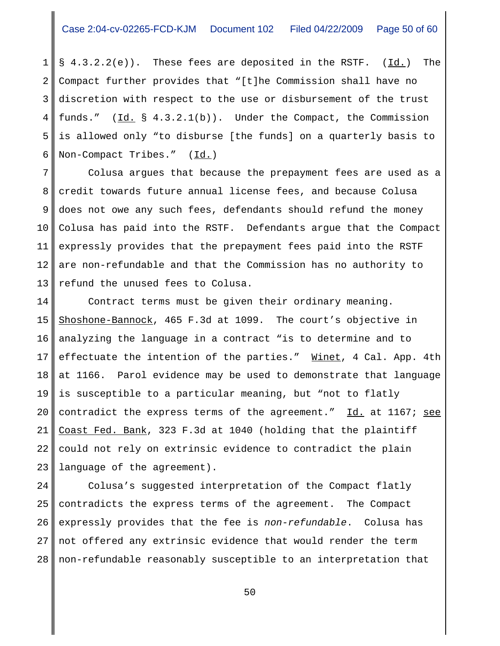1 2 3 4 5 6  $\S$  4.3.2.2(e)). These fees are deposited in the RSTF. ( $\underline{Id.}$ ) The Compact further provides that "[t]he Commission shall have no discretion with respect to the use or disbursement of the trust funds."  $(\underline{Id.} \S 4.3.2.1(b))$ . Under the Compact, the Commission is allowed only "to disburse [the funds] on a quarterly basis to Non-Compact Tribes." (Id.)

7 8 9 10 11 12 13 Colusa argues that because the prepayment fees are used as a credit towards future annual license fees, and because Colusa does not owe any such fees, defendants should refund the money Colusa has paid into the RSTF. Defendants argue that the Compact expressly provides that the prepayment fees paid into the RSTF are non-refundable and that the Commission has no authority to refund the unused fees to Colusa.

14 15 16 17 18 19 20 21 22 23 Contract terms must be given their ordinary meaning. Shoshone-Bannock, 465 F.3d at 1099. The court's objective in analyzing the language in a contract "is to determine and to effectuate the intention of the parties." Winet, 4 Cal. App. 4th at 1166. Parol evidence may be used to demonstrate that language is susceptible to a particular meaning, but "not to flatly contradict the express terms of the agreement." Id. at 1167; see Coast Fed. Bank, 323 F.3d at 1040 (holding that the plaintiff could not rely on extrinsic evidence to contradict the plain language of the agreement).

24 25 26 27 28 Colusa's suggested interpretation of the Compact flatly contradicts the express terms of the agreement. The Compact expressly provides that the fee is *non-refundable*. Colusa has not offered any extrinsic evidence that would render the term non-refundable reasonably susceptible to an interpretation that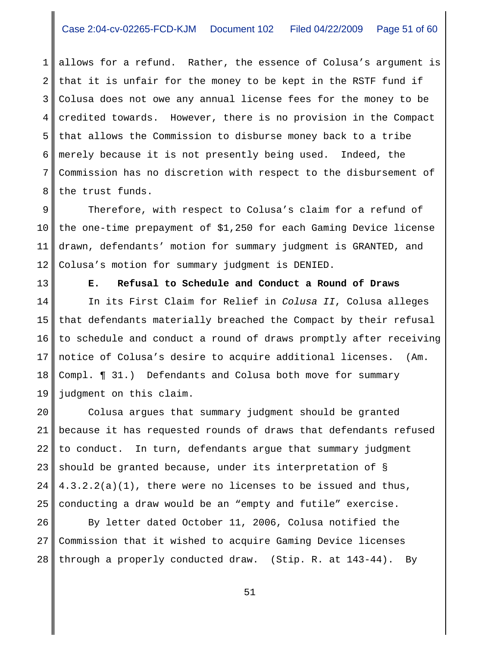1 2 3 4 5 6 7 8 allows for a refund. Rather, the essence of Colusa's argument is that it is unfair for the money to be kept in the RSTF fund if Colusa does not owe any annual license fees for the money to be credited towards. However, there is no provision in the Compact that allows the Commission to disburse money back to a tribe merely because it is not presently being used. Indeed, the Commission has no discretion with respect to the disbursement of the trust funds.

9 10 11 12 Therefore, with respect to Colusa's claim for a refund of the one-time prepayment of \$1,250 for each Gaming Device license drawn, defendants' motion for summary judgment is GRANTED, and Colusa's motion for summary judgment is DENIED.

13

**E. Refusal to Schedule and Conduct a Round of Draws**

14 15 16 17 18 19 In its First Claim for Relief in *Colusa II*, Colusa alleges that defendants materially breached the Compact by their refusal to schedule and conduct a round of draws promptly after receiving notice of Colusa's desire to acquire additional licenses. (Am. Compl. ¶ 31.) Defendants and Colusa both move for summary judgment on this claim.

20 21 22 23 24 25 Colusa argues that summary judgment should be granted because it has requested rounds of draws that defendants refused to conduct. In turn, defendants argue that summary judgment should be granted because, under its interpretation of § 4.3.2.2(a)(1), there were no licenses to be issued and thus, conducting a draw would be an "empty and futile" exercise.

26 27 28 By letter dated October 11, 2006, Colusa notified the Commission that it wished to acquire Gaming Device licenses through a properly conducted draw. (Stip. R. at 143-44). By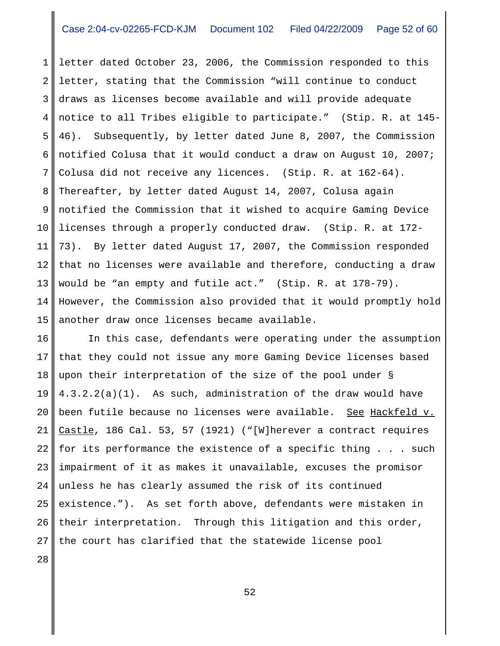1 2 3 4 5 6 7 8 9 10 11 12 13 14 15 letter dated October 23, 2006, the Commission responded to this letter, stating that the Commission "will continue to conduct draws as licenses become available and will provide adequate notice to all Tribes eligible to participate." (Stip. R. at 145- 46). Subsequently, by letter dated June 8, 2007, the Commission notified Colusa that it would conduct a draw on August 10, 2007; Colusa did not receive any licences. (Stip. R. at 162-64). Thereafter, by letter dated August 14, 2007, Colusa again notified the Commission that it wished to acquire Gaming Device licenses through a properly conducted draw. (Stip. R. at 172- 73). By letter dated August 17, 2007, the Commission responded that no licenses were available and therefore, conducting a draw would be "an empty and futile act." (Stip. R. at 178-79). However, the Commission also provided that it would promptly hold another draw once licenses became available.

16 17 18 19 20 21 22 23 24 25 26 27 In this case, defendants were operating under the assumption that they could not issue any more Gaming Device licenses based upon their interpretation of the size of the pool under § 4.3.2.2(a)(1). As such, administration of the draw would have been futile because no licenses were available. See Hackfeld v. Castle, 186 Cal. 53, 57 (1921) ("[W]herever a contract requires for its performance the existence of a specific thing . . . such impairment of it as makes it unavailable, excuses the promisor unless he has clearly assumed the risk of its continued existence."). As set forth above, defendants were mistaken in their interpretation. Through this litigation and this order, the court has clarified that the statewide license pool

28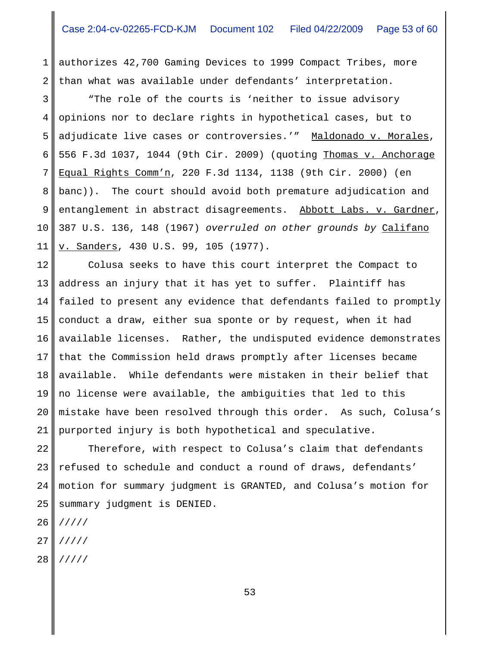1 2 authorizes 42,700 Gaming Devices to 1999 Compact Tribes, more than what was available under defendants' interpretation.

3 4 5 6 7 8 9 10 11 "The role of the courts is 'neither to issue advisory opinions nor to declare rights in hypothetical cases, but to adjudicate live cases or controversies.'" Maldonado v. Morales, 556 F.3d 1037, 1044 (9th Cir. 2009) (quoting Thomas v. Anchorage Equal Rights Comm'n, 220 F.3d 1134, 1138 (9th Cir. 2000) (en banc)). The court should avoid both premature adjudication and entanglement in abstract disagreements. Abbott Labs. v. Gardner, 387 U.S. 136, 148 (1967) *overruled on other grounds by* Califano v. Sanders, 430 U.S. 99, 105 (1977).

12 13 14 15 16 17 18 19 20 21 Colusa seeks to have this court interpret the Compact to address an injury that it has yet to suffer. Plaintiff has failed to present any evidence that defendants failed to promptly conduct a draw, either sua sponte or by request, when it had available licenses. Rather, the undisputed evidence demonstrates that the Commission held draws promptly after licenses became available. While defendants were mistaken in their belief that no license were available, the ambiguities that led to this mistake have been resolved through this order. As such, Colusa's purported injury is both hypothetical and speculative.

22 23 24 25 Therefore, with respect to Colusa's claim that defendants refused to schedule and conduct a round of draws, defendants' motion for summary judgment is GRANTED, and Colusa's motion for summary judgment is DENIED.

- 26 /////
- 27 /////
- 28 /////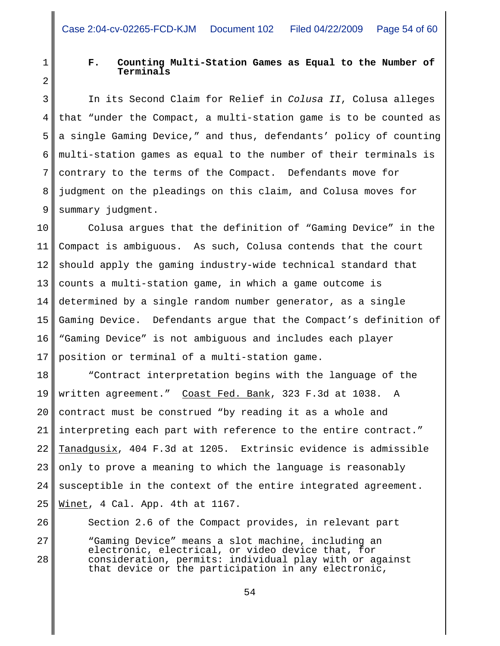1 2

5

6

7

8

9

26

27

28

# **F. Counting Multi-Station Games as Equal to the Number of Terminals**

3 4 In its Second Claim for Relief in *Colusa II*, Colusa alleges that "under the Compact, a multi-station game is to be counted as a single Gaming Device," and thus, defendants' policy of counting multi-station games as equal to the number of their terminals is contrary to the terms of the Compact. Defendants move for judgment on the pleadings on this claim, and Colusa moves for summary judgment.

10 11 12 13 14 15 16 17 Colusa argues that the definition of "Gaming Device" in the Compact is ambiguous. As such, Colusa contends that the court should apply the gaming industry-wide technical standard that counts a multi-station game, in which a game outcome is determined by a single random number generator, as a single Gaming Device. Defendants argue that the Compact's definition of "Gaming Device" is not ambiguous and includes each player position or terminal of a multi-station game.

18 19 20 21 22 23 24 25 "Contract interpretation begins with the language of the written agreement." Coast Fed. Bank, 323 F.3d at 1038. A contract must be construed "by reading it as a whole and interpreting each part with reference to the entire contract." Tanadgusix, 404 F.3d at 1205. Extrinsic evidence is admissible only to prove a meaning to which the language is reasonably susceptible in the context of the entire integrated agreement. Winet, 4 Cal. App. 4th at 1167.

Section 2.6 of the Compact provides, in relevant part "Gaming Device" means a slot machine, including an electronic, electrical, or video device that, for consideration, permits: individual play with or against that device or the participation in any electronic,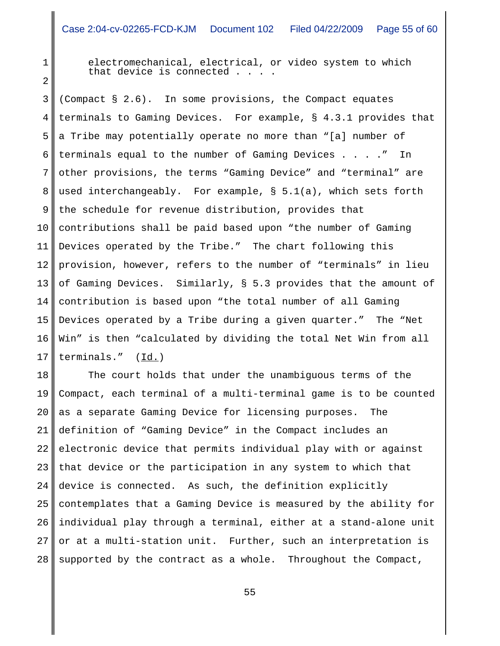2

1

electromechanical, electrical, or video system to which that device is connected . . . .

3 4 5 6 7 8 9 10 11 12 13 14 15 16 17 (Compact § 2.6). In some provisions, the Compact equates terminals to Gaming Devices. For example, § 4.3.1 provides that a Tribe may potentially operate no more than "[a] number of terminals equal to the number of Gaming Devices . . . ." In other provisions, the terms "Gaming Device" and "terminal" are used interchangeably. For example, § 5.1(a), which sets forth the schedule for revenue distribution, provides that contributions shall be paid based upon "the number of Gaming Devices operated by the Tribe." The chart following this provision, however, refers to the number of "terminals" in lieu of Gaming Devices. Similarly, § 5.3 provides that the amount of contribution is based upon "the total number of all Gaming Devices operated by a Tribe during a given quarter." The "Net Win" is then "calculated by dividing the total Net Win from all terminals." (Id.)

18 19 20 21 22 23 24 25 26 27 28 The court holds that under the unambiguous terms of the Compact, each terminal of a multi-terminal game is to be counted as a separate Gaming Device for licensing purposes. The definition of "Gaming Device" in the Compact includes an electronic device that permits individual play with or against that device or the participation in any system to which that device is connected. As such, the definition explicitly contemplates that a Gaming Device is measured by the ability for individual play through a terminal, either at a stand-alone unit or at a multi-station unit. Further, such an interpretation is supported by the contract as a whole. Throughout the Compact,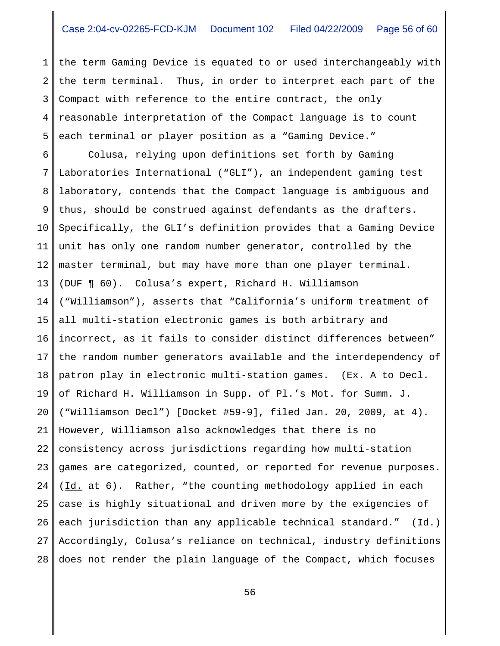1 2 3 4 5 the term Gaming Device is equated to or used interchangeably with the term terminal. Thus, in order to interpret each part of the Compact with reference to the entire contract, the only reasonable interpretation of the Compact language is to count each terminal or player position as a "Gaming Device."

6 7 8 9 10 11 12 13 14 15 16 17 18 19 20 21 22 23 24 25 26 27 28 Colusa, relying upon definitions set forth by Gaming Laboratories International ("GLI"), an independent gaming test laboratory, contends that the Compact language is ambiguous and thus, should be construed against defendants as the drafters. Specifically, the GLI's definition provides that a Gaming Device unit has only one random number generator, controlled by the master terminal, but may have more than one player terminal. (DUF ¶ 60). Colusa's expert, Richard H. Williamson ("Williamson"), asserts that "California's uniform treatment of all multi-station electronic games is both arbitrary and incorrect, as it fails to consider distinct differences between" the random number generators available and the interdependency of patron play in electronic multi-station games. (Ex. A to Decl. of Richard H. Williamson in Supp. of Pl.'s Mot. for Summ. J. ("Williamson Decl") [Docket #59-9], filed Jan. 20, 2009, at 4). However, Williamson also acknowledges that there is no consistency across jurisdictions regarding how multi-station games are categorized, counted, or reported for revenue purposes. (Id. at 6). Rather, "the counting methodology applied in each case is highly situational and driven more by the exigencies of each jurisdiction than any applicable technical standard."  $(Id.)$ Accordingly, Colusa's reliance on technical, industry definitions does not render the plain language of the Compact, which focuses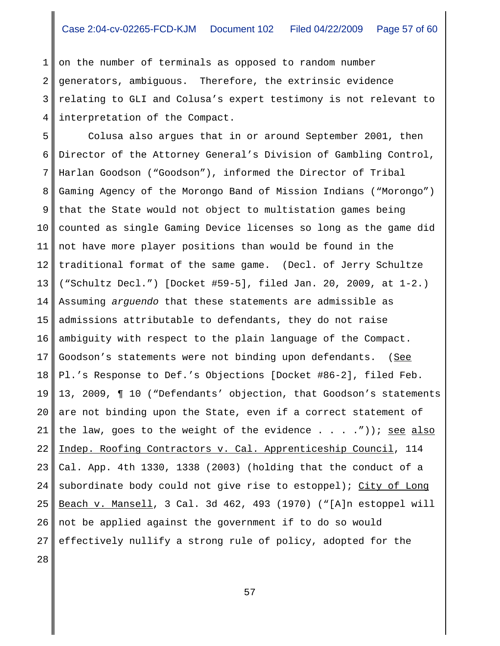1 2 3 4 on the number of terminals as opposed to random number generators, ambiguous. Therefore, the extrinsic evidence relating to GLI and Colusa's expert testimony is not relevant to interpretation of the Compact.

5 6 7 8 9 10 11 12 13 14 15 16 17 18 19 20 21 22 23 24 25 26 27 Colusa also argues that in or around September 2001, then Director of the Attorney General's Division of Gambling Control, Harlan Goodson ("Goodson"), informed the Director of Tribal Gaming Agency of the Morongo Band of Mission Indians ("Morongo") that the State would not object to multistation games being counted as single Gaming Device licenses so long as the game did not have more player positions than would be found in the traditional format of the same game. (Decl. of Jerry Schultze ("Schultz Decl.") [Docket #59-5], filed Jan. 20, 2009, at 1-2.) Assuming *arguendo* that these statements are admissible as admissions attributable to defendants, they do not raise ambiguity with respect to the plain language of the Compact. Goodson's statements were not binding upon defendants. (See Pl.'s Response to Def.'s Objections [Docket #86-2], filed Feb. 13, 2009, ¶ 10 ("Defendants' objection, that Goodson's statements are not binding upon the State, even if a correct statement of the law, goes to the weight of the evidence . . . .")); see also Indep. Roofing Contractors v. Cal. Apprenticeship Council, 114 Cal. App. 4th 1330, 1338 (2003) (holding that the conduct of a subordinate body could not give rise to estoppel); City of Long Beach v. Mansell, 3 Cal. 3d 462, 493 (1970) ("[A]n estoppel will not be applied against the government if to do so would effectively nullify a strong rule of policy, adopted for the

28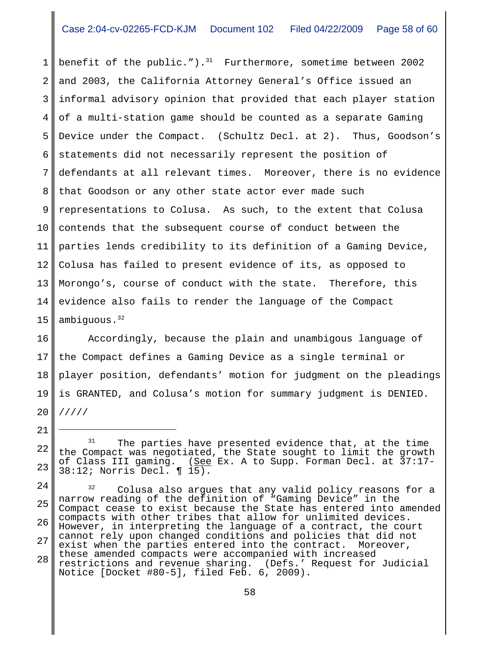1 2 3 4 5 6 7 8 9 10 11 12 13 14 15 benefit of the public."). $31$  Furthermore, sometime between 2002 and 2003, the California Attorney General's Office issued an informal advisory opinion that provided that each player station of a multi-station game should be counted as a separate Gaming Device under the Compact. (Schultz Decl. at 2). Thus, Goodson's statements did not necessarily represent the position of defendants at all relevant times. Moreover, there is no evidence that Goodson or any other state actor ever made such representations to Colusa. As such, to the extent that Colusa contends that the subsequent course of conduct between the parties lends credibility to its definition of a Gaming Device, Colusa has failed to present evidence of its, as opposed to Morongo's, course of conduct with the state. Therefore, this evidence also fails to render the language of the Compact ambiquous.<sup>32</sup>

16 17 18 19 20 Accordingly, because the plain and unambigous language of the Compact defines a Gaming Device as a single terminal or player position, defendants' motion for judgment on the pleadings is GRANTED, and Colusa's motion for summary judgment is DENIED. /////

<sup>22</sup> 23 <sup>31</sup> The parties have presented evidence that, at the time the Compact was negotiated, the State sought to limit the growth of Class III gaming. (<u>See</u> Ex. A to Supp. Forman Decl. at 37:17-38:12; Norris Decl. ¶ 15).

<sup>24</sup> 25 26 27 28 <sup>32</sup> Colusa also argues that any valid policy reasons for a narrow reading of the definition of "Gaming Device" in the Compact cease to exist because the State has entered into amended compacts with other tribes that allow for unlimited devices. However, in interpreting the language of a contract, the court cannot rely upon changed conditions and policies that did not exist when the parties entered into the contract. Moreover, these amended compacts were accompanied with increased restrictions and revenue sharing. (Defs.' Request for Judicial Notice [Docket #80-5], filed Feb. 6, 2009).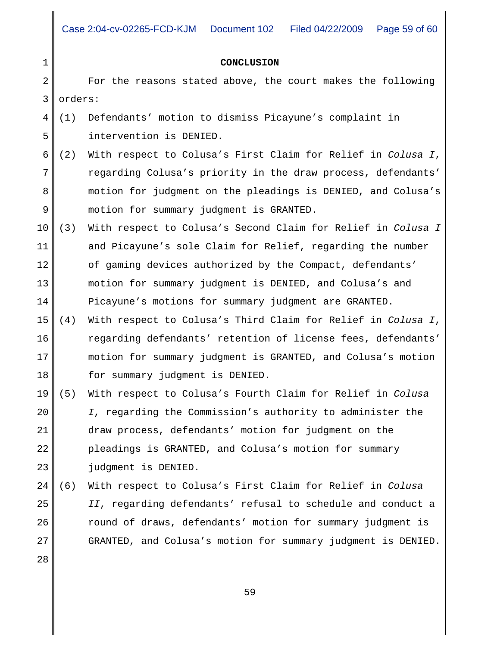### **CONCLUSION**

2 3 For the reasons stated above, the court makes the following orders:

- 4 5 (1) Defendants' motion to dismiss Picayune's complaint in intervention is DENIED.
- 6 7 8 9 (2) With respect to Colusa's First Claim for Relief in *Colusa I*, regarding Colusa's priority in the draw process, defendants' motion for judgment on the pleadings is DENIED, and Colusa's motion for summary judgment is GRANTED.
- 10 11 12 13 14 (3) With respect to Colusa's Second Claim for Relief in *Colusa I* and Picayune's sole Claim for Relief, regarding the number of gaming devices authorized by the Compact, defendants' motion for summary judgment is DENIED, and Colusa's and Picayune's motions for summary judgment are GRANTED.
- 15 16 17 18 (4) With respect to Colusa's Third Claim for Relief in *Colusa I*, regarding defendants' retention of license fees, defendants' motion for summary judgment is GRANTED, and Colusa's motion for summary judgment is DENIED.
- 19 20 21 22 23 (5) With respect to Colusa's Fourth Claim for Relief in *Colusa I*, regarding the Commission's authority to administer the draw process, defendants' motion for judgment on the pleadings is GRANTED, and Colusa's motion for summary judgment is DENIED.
- 24 25 26 27 (6) With respect to Colusa's First Claim for Relief in *Colusa II*, regarding defendants' refusal to schedule and conduct a round of draws, defendants' motion for summary judgment is GRANTED, and Colusa's motion for summary judgment is DENIED.

28